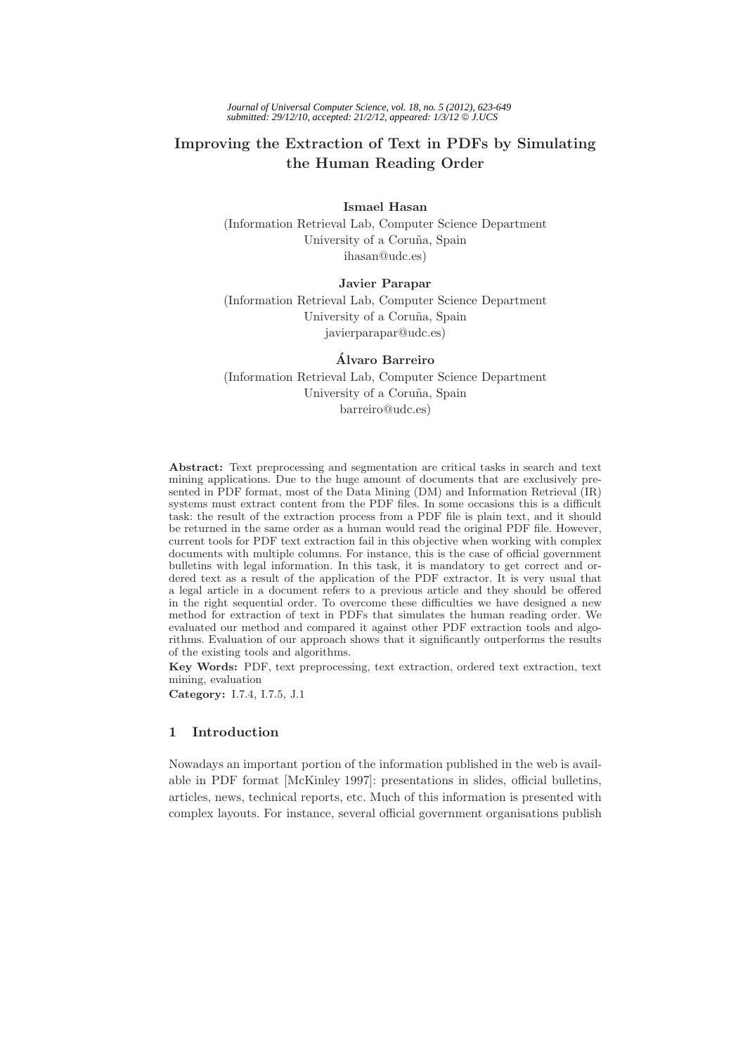# **Improving the Extraction of Text in PDFs by Simulating the Human Reading Order**

**Ismael Hasan** (Information Retrieval Lab, Computer Science Department University of a Coruña, Spain ihasan@udc.es)

**Javier Parapar** (Information Retrieval Lab, Computer Science Department University of a Coruña, Spain javierparapar@udc.es)

**Alvaro Barreiro ´** (Information Retrieval Lab, Computer Science Department University of a Coruña, Spain barreiro@udc.es)

**Abstract:** Text preprocessing and segmentation are critical tasks in search and text mining applications. Due to the huge amount of documents that are exclusively presented in PDF format, most of the Data Mining  $(DM)$  and Information Retrieval  $(\overline{IR})$ systems must extract content from the PDF files. In some occasions this is a difficult task: the result of the extraction process from a PDF file is plain text, and it should be returned in the same order as a human would read the original PDF file. However, current tools for PDF text extraction fail in this objective when working with complex documents with multiple columns. For instance, this is the case of official government bulletins with legal information. In this task, it is mandatory to get correct and ordered text as a result of the application of the PDF extractor. It is very usual that a legal article in a document refers to a previous article and they should be offered in the right sequential order. To overcome these difficulties we have designed a new method for extraction of text in PDFs that simulates the human reading order. We evaluated our method and compared it against other PDF extraction tools and algorithms. Evaluation of our approach shows that it significantly outperforms the results of the existing tools and algorithms.

**Key Words:** PDF, text preprocessing, text extraction, ordered text extraction, text mining, evaluation

**Category:** I.7.4, I.7.5, J.1

# **1 Introduction**

Nowadays an important portion of the information published in the web is available in PDF format [McKinley 1997]: presentations in slides, official bulletins, articles, news, technical reports, etc. Much of this information is presented with complex layouts. For instance, several official government organisations publish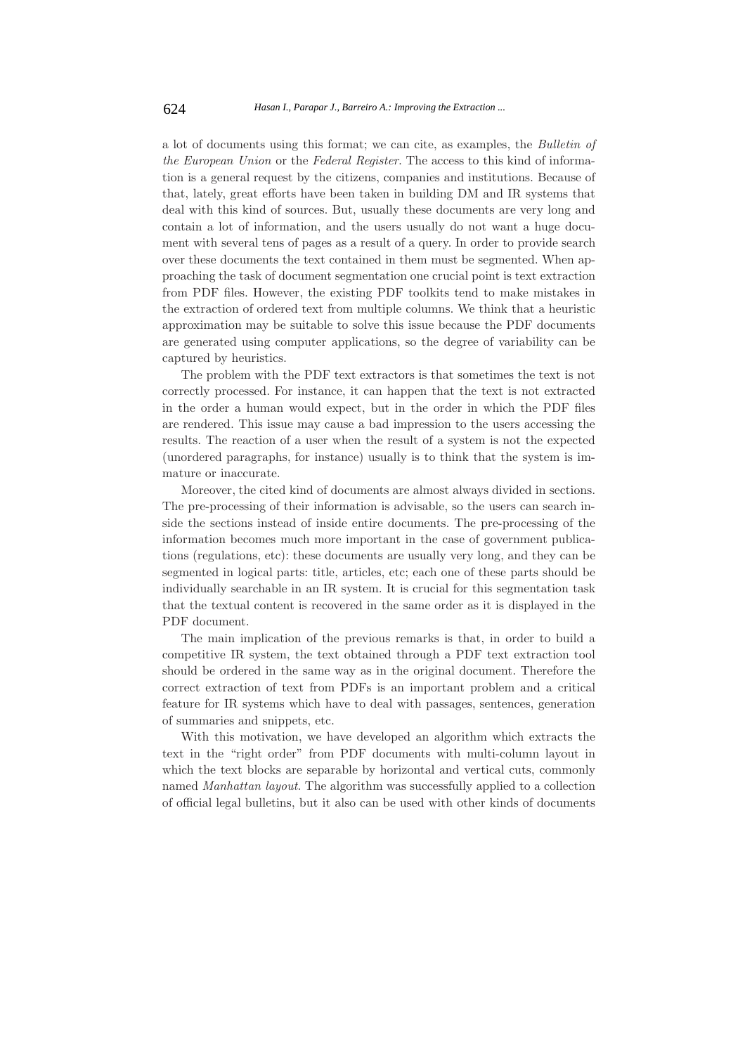a lot of documents using this format; we can cite, as examples, the *Bulletin of the European Union* or the *Federal Register*. The access to this kind of information is a general request by the citizens, companies and institutions. Because of that, lately, great efforts have been taken in building DM and IR systems that deal with this kind of sources. But, usually these documents are very long and contain a lot of information, and the users usually do not want a huge document with several tens of pages as a result of a query. In order to provide search over these documents the text contained in them must be segmented. When approaching the task of document segmentation one crucial point is text extraction from PDF files. However, the existing PDF toolkits tend to make mistakes in the extraction of ordered text from multiple columns. We think that a heuristic approximation may be suitable to solve this issue because the PDF documents are generated using computer applications, so the degree of variability can be captured by heuristics.

The problem with the PDF text extractors is that sometimes the text is not correctly processed. For instance, it can happen that the text is not extracted in the order a human would expect, but in the order in which the PDF files are rendered. This issue may cause a bad impression to the users accessing the results. The reaction of a user when the result of a system is not the expected (unordered paragraphs, for instance) usually is to think that the system is immature or inaccurate.

Moreover, the cited kind of documents are almost always divided in sections. The pre-processing of their information is advisable, so the users can search inside the sections instead of inside entire documents. The pre-processing of the information becomes much more important in the case of government publications (regulations, etc): these documents are usually very long, and they can be segmented in logical parts: title, articles, etc; each one of these parts should be individually searchable in an IR system. It is crucial for this segmentation task that the textual content is recovered in the same order as it is displayed in the PDF document.

The main implication of the previous remarks is that, in order to build a competitive IR system, the text obtained through a PDF text extraction tool should be ordered in the same way as in the original document. Therefore the correct extraction of text from PDFs is an important problem and a critical feature for IR systems which have to deal with passages, sentences, generation of summaries and snippets, etc.

With this motivation, we have developed an algorithm which extracts the text in the "right order" from PDF documents with multi-column layout in which the text blocks are separable by horizontal and vertical cuts, commonly named *Manhattan layout*. The algorithm was successfully applied to a collection of official legal bulletins, but it also can be used with other kinds of documents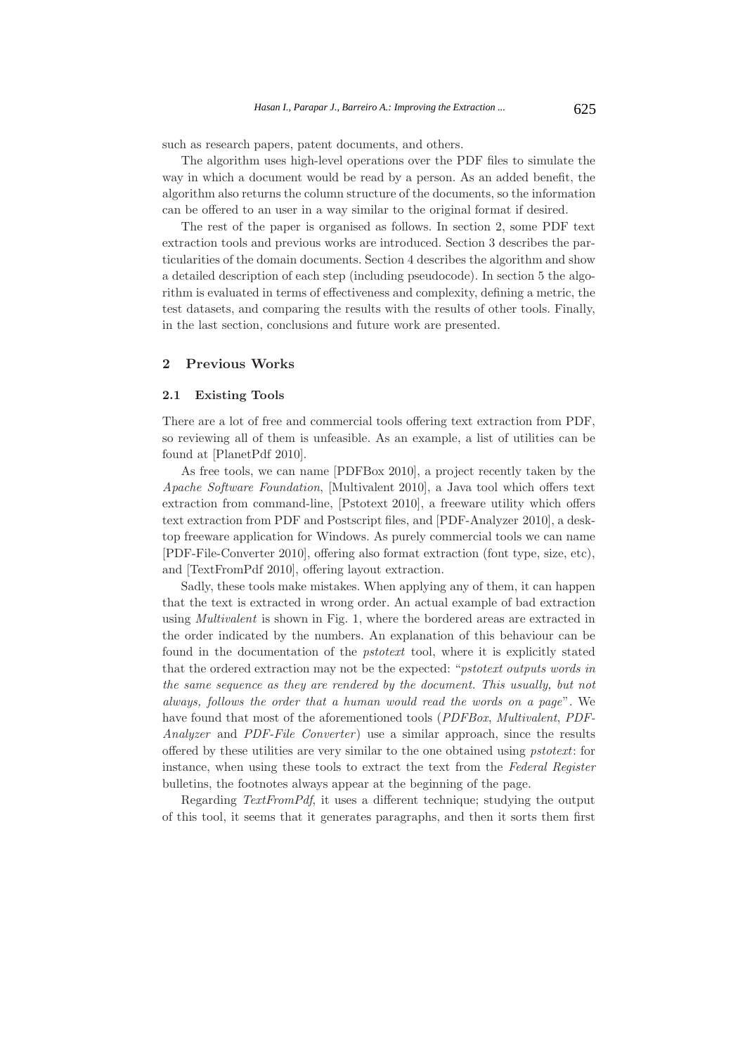such as research papers, patent documents, and others.

The algorithm uses high-level operations over the PDF files to simulate the way in which a document would be read by a person. As an added benefit, the algorithm also returns the column structure of the documents, so the information can be offered to an user in a way similar to the original format if desired.

The rest of the paper is organised as follows. In section 2, some PDF text extraction tools and previous works are introduced. Section 3 describes the particularities of the domain documents. Section 4 describes the algorithm and show a detailed description of each step (including pseudocode). In section 5 the algorithm is evaluated in terms of effectiveness and complexity, defining a metric, the test datasets, and comparing the results with the results of other tools. Finally, in the last section, conclusions and future work are presented.

# **2 Previous Works**

#### **2.1 Existing Tools**

There are a lot of free and commercial tools offering text extraction from PDF, so reviewing all of them is unfeasible. As an example, a list of utilities can be found at [PlanetPdf 2010].

As free tools, we can name [PDFBox 2010], a project recently taken by the *Apache Software Foundation*, [Multivalent 2010], a Java tool which offers text extraction from command-line, [Pstotext 2010], a freeware utility which offers text extraction from PDF and Postscript files, and [PDF-Analyzer 2010], a desktop freeware application for Windows. As purely commercial tools we can name [PDF-File-Converter 2010], offering also format extraction (font type, size, etc), and [TextFromPdf 2010], offering layout extraction.

Sadly, these tools make mistakes. When applying any of them, it can happen that the text is extracted in wrong order. An actual example of bad extraction using *Multivalent* is shown in Fig. 1, where the bordered areas are extracted in the order indicated by the numbers. An explanation of this behaviour can be found in the documentation of the *pstotext* tool, where it is explicitly stated that the ordered extraction may not be the expected: "*pstotext outputs words in the same sequence as they are rendered by the document. This usually, but not always, follows the order that a human would read the words on a page*". We have found that most of the aforementioned tools (*PDFBox*, *Multivalent*, *PDF-Analyzer* and *PDF-File Converter* ) use a similar approach, since the results offered by these utilities are very similar to the one obtained using *pstotext*: for instance, when using these tools to extract the text from the *Federal Register* bulletins, the footnotes always appear at the beginning of the page.

Regarding *TextFromPdf*, it uses a different technique; studying the output of this tool, it seems that it generates paragraphs, and then it sorts them first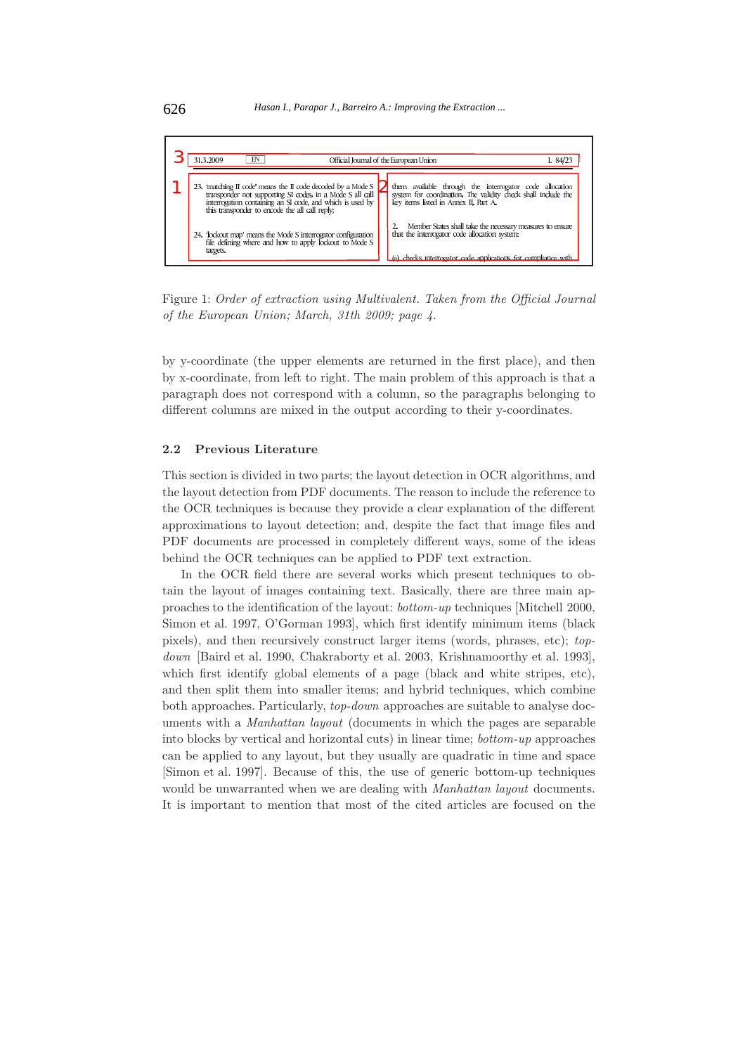

Figure 1: *Order of extraction using Multivalent. Taken from the Official Journal of the European Union; March, 31th 2009; page 4.*

by y-coordinate (the upper elements are returned in the first place), and then by x-coordinate, from left to right. The main problem of this approach is that a paragraph does not correspond with a column, so the paragraphs belonging to different columns are mixed in the output according to their y-coordinates.

#### **2.2 Previous Literature**

This section is divided in two parts; the layout detection in OCR algorithms, and the layout detection from PDF documents. The reason to include the reference to the OCR techniques is because they provide a clear explanation of the different approximations to layout detection; and, despite the fact that image files and PDF documents are processed in completely different ways, some of the ideas behind the OCR techniques can be applied to PDF text extraction.

In the OCR field there are several works which present techniques to obtain the layout of images containing text. Basically, there are three main approaches to the identification of the layout: *bottom-up* techniques [Mitchell 2000, Simon et al. 1997, O'Gorman 1993], which first identify minimum items (black pixels), and then recursively construct larger items (words, phrases, etc); *topdown* [Baird et al. 1990, Chakraborty et al. 2003, Krishnamoorthy et al. 1993], which first identify global elements of a page (black and white stripes, etc), and then split them into smaller items; and hybrid techniques, which combine both approaches. Particularly, *top-down* approaches are suitable to analyse documents with a *Manhattan layout* (documents in which the pages are separable into blocks by vertical and horizontal cuts) in linear time; *bottom-up* approaches can be applied to any layout, but they usually are quadratic in time and space [Simon et al. 1997]. Because of this, the use of generic bottom-up techniques would be unwarranted when we are dealing with *Manhattan layout* documents. It is important to mention that most of the cited articles are focused on the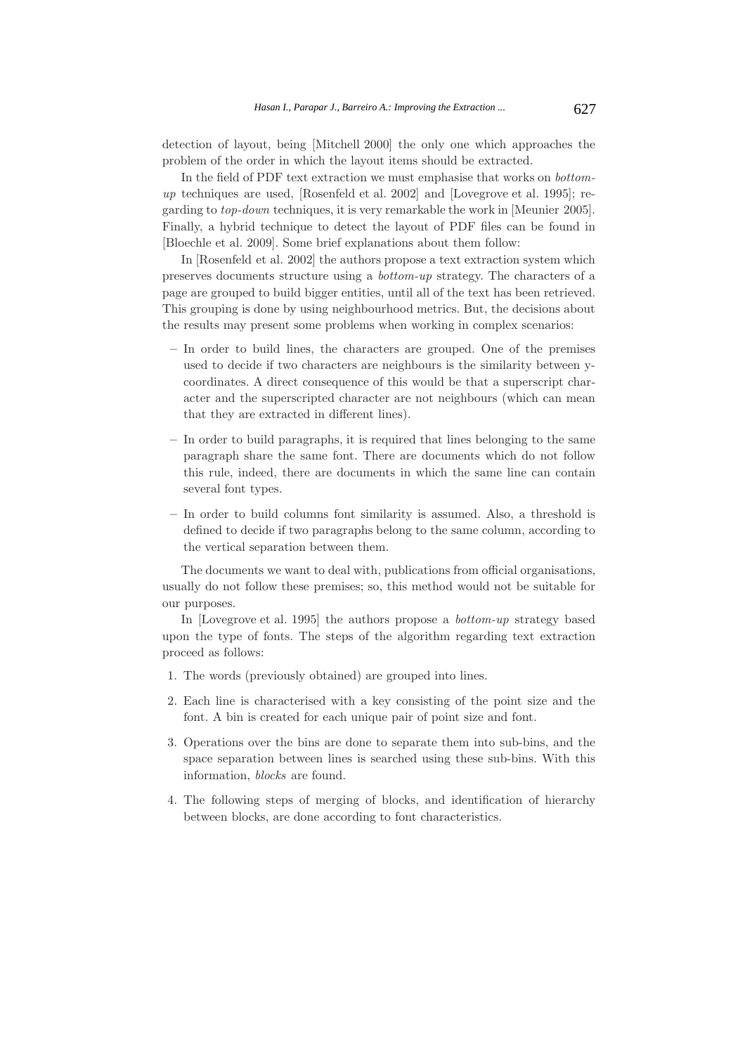detection of layout, being [Mitchell 2000] the only one which approaches the problem of the order in which the layout items should be extracted.

In the field of PDF text extraction we must emphasise that works on *bottomup* techniques are used, [Rosenfeld et al. 2002] and [Lovegrove et al. 1995]; regarding to *top-down* techniques, it is very remarkable the work in [Meunier 2005]. Finally, a hybrid technique to detect the layout of PDF files can be found in [Bloechle et al. 2009]. Some brief explanations about them follow:

In [Rosenfeld et al. 2002] the authors propose a text extraction system which preserves documents structure using a *bottom-up* strategy. The characters of a page are grouped to build bigger entities, until all of the text has been retrieved. This grouping is done by using neighbourhood metrics. But, the decisions about the results may present some problems when working in complex scenarios:

- **–** In order to build lines, the characters are grouped. One of the premises used to decide if two characters are neighbours is the similarity between ycoordinates. A direct consequence of this would be that a superscript character and the superscripted character are not neighbours (which can mean that they are extracted in different lines).
- **–** In order to build paragraphs, it is required that lines belonging to the same paragraph share the same font. There are documents which do not follow this rule, indeed, there are documents in which the same line can contain several font types.
- **–** In order to build columns font similarity is assumed. Also, a threshold is defined to decide if two paragraphs belong to the same column, according to the vertical separation between them.

The documents we want to deal with, publications from official organisations, usually do not follow these premises; so, this method would not be suitable for our purposes.

In [Lovegrove et al. 1995] the authors propose a *bottom-up* strategy based upon the type of fonts. The steps of the algorithm regarding text extraction proceed as follows:

- 1. The words (previously obtained) are grouped into lines.
- 2. Each line is characterised with a key consisting of the point size and the font. A bin is created for each unique pair of point size and font.
- 3. Operations over the bins are done to separate them into sub-bins, and the space separation between lines is searched using these sub-bins. With this information, *blocks* are found.
- 4. The following steps of merging of blocks, and identification of hierarchy between blocks, are done according to font characteristics.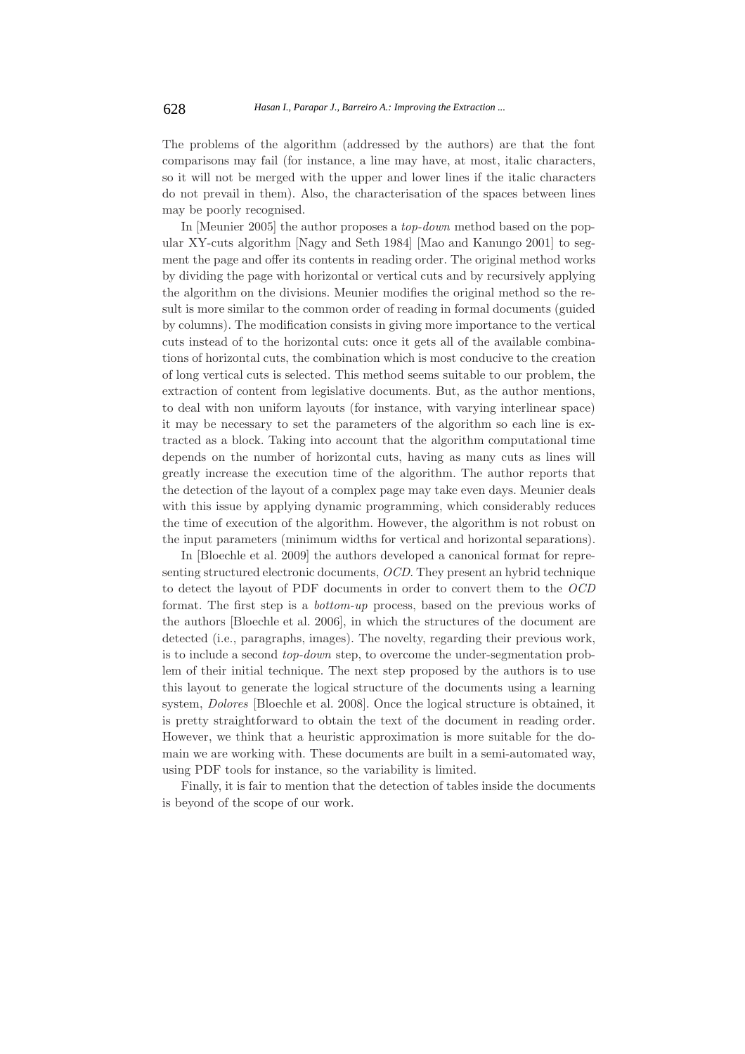The problems of the algorithm (addressed by the authors) are that the font comparisons may fail (for instance, a line may have, at most, italic characters, so it will not be merged with the upper and lower lines if the italic characters do not prevail in them). Also, the characterisation of the spaces between lines may be poorly recognised.

In [Meunier 2005] the author proposes a *top-down* method based on the popular XY-cuts algorithm [Nagy and Seth 1984] [Mao and Kanungo 2001] to segment the page and offer its contents in reading order. The original method works by dividing the page with horizontal or vertical cuts and by recursively applying the algorithm on the divisions. Meunier modifies the original method so the result is more similar to the common order of reading in formal documents (guided by columns). The modification consists in giving more importance to the vertical cuts instead of to the horizontal cuts: once it gets all of the available combinations of horizontal cuts, the combination which is most conducive to the creation of long vertical cuts is selected. This method seems suitable to our problem, the extraction of content from legislative documents. But, as the author mentions, to deal with non uniform layouts (for instance, with varying interlinear space) it may be necessary to set the parameters of the algorithm so each line is extracted as a block. Taking into account that the algorithm computational time depends on the number of horizontal cuts, having as many cuts as lines will greatly increase the execution time of the algorithm. The author reports that the detection of the layout of a complex page may take even days. Meunier deals with this issue by applying dynamic programming, which considerably reduces the time of execution of the algorithm. However, the algorithm is not robust on the input parameters (minimum widths for vertical and horizontal separations).

In [Bloechle et al. 2009] the authors developed a canonical format for representing structured electronic documents, *OCD*. They present an hybrid technique to detect the layout of PDF documents in order to convert them to the *OCD* format. The first step is a *bottom-up* process, based on the previous works of the authors [Bloechle et al. 2006], in which the structures of the document are detected (i.e., paragraphs, images). The novelty, regarding their previous work, is to include a second *top-down* step, to overcome the under-segmentation problem of their initial technique. The next step proposed by the authors is to use this layout to generate the logical structure of the documents using a learning system, *Dolores* [Bloechle et al. 2008]. Once the logical structure is obtained, it is pretty straightforward to obtain the text of the document in reading order. However, we think that a heuristic approximation is more suitable for the domain we are working with. These documents are built in a semi-automated way, using PDF tools for instance, so the variability is limited.

Finally, it is fair to mention that the detection of tables inside the documents is beyond of the scope of our work.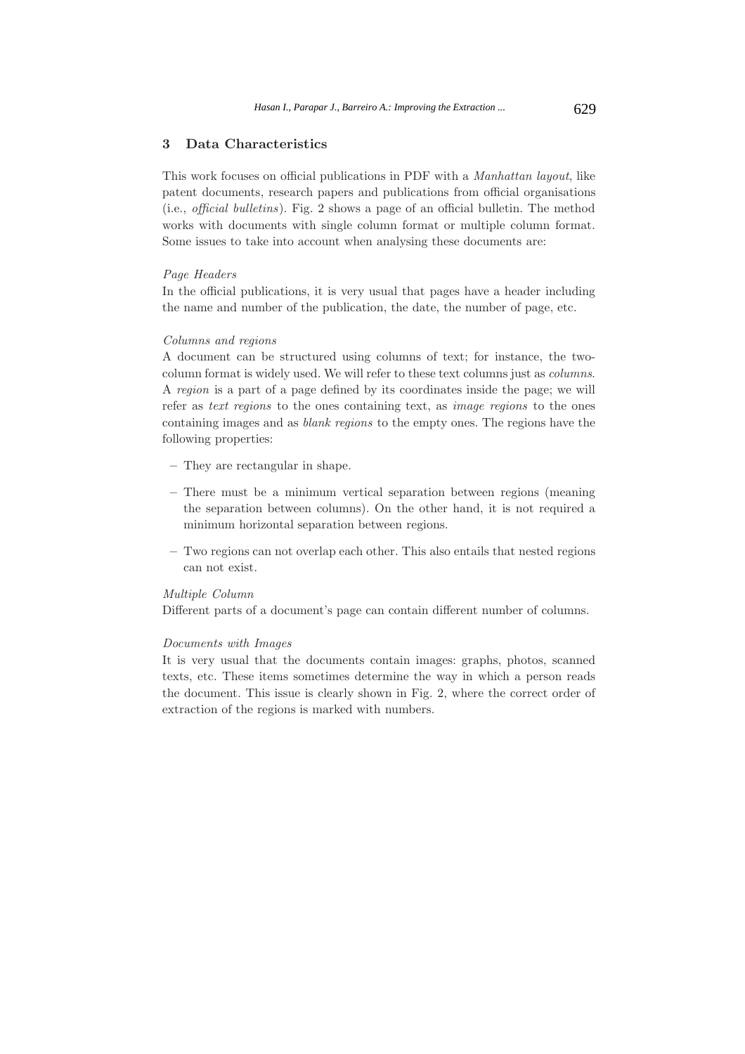# **3 Data Characteristics**

This work focuses on official publications in PDF with a *Manhattan layout*, like patent documents, research papers and publications from official organisations (i.e., *official bulletins*). Fig. 2 shows a page of an official bulletin. The method works with documents with single column format or multiple column format. Some issues to take into account when analysing these documents are:

#### *Page Headers*

In the official publications, it is very usual that pages have a header including the name and number of the publication, the date, the number of page, etc.

### *Columns and regions*

A document can be structured using columns of text; for instance, the twocolumn format is widely used. We will refer to these text columns just as *columns*. A *region* is a part of a page defined by its coordinates inside the page; we will refer as *text regions* to the ones containing text, as *image regions* to the ones containing images and as *blank regions* to the empty ones. The regions have the following properties:

- **–** They are rectangular in shape.
- **–** There must be a minimum vertical separation between regions (meaning the separation between columns). On the other hand, it is not required a minimum horizontal separation between regions.
- **–** Two regions can not overlap each other. This also entails that nested regions can not exist.

# *Multiple Column*

Different parts of a document's page can contain different number of columns.

### *Documents with Images*

It is very usual that the documents contain images: graphs, photos, scanned texts, etc. These items sometimes determine the way in which a person reads the document. This issue is clearly shown in Fig. 2, where the correct order of extraction of the regions is marked with numbers.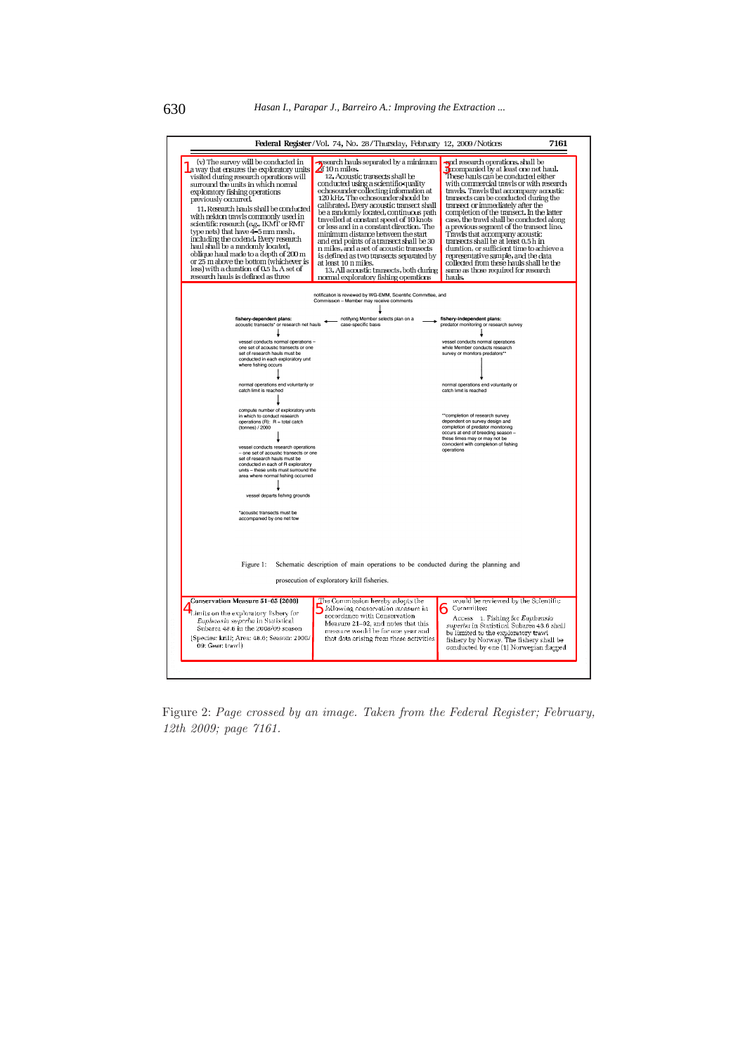|                                                                                                                                                                                                                                                                                                                                                                                                                                                                                                                                                                                                                                             | Federal Register/Vol. 74, No. 28/Thursday, February 12, 2009/Notices                                                                                                                                                                                                                                                                                                                                                                                                                                                                                                                                                                                                                          | 7161                                                                                                                                                                                                                                                                                                                                                                                                                                                                                                                                                                                                                                                                                |
|---------------------------------------------------------------------------------------------------------------------------------------------------------------------------------------------------------------------------------------------------------------------------------------------------------------------------------------------------------------------------------------------------------------------------------------------------------------------------------------------------------------------------------------------------------------------------------------------------------------------------------------------|-----------------------------------------------------------------------------------------------------------------------------------------------------------------------------------------------------------------------------------------------------------------------------------------------------------------------------------------------------------------------------------------------------------------------------------------------------------------------------------------------------------------------------------------------------------------------------------------------------------------------------------------------------------------------------------------------|-------------------------------------------------------------------------------------------------------------------------------------------------------------------------------------------------------------------------------------------------------------------------------------------------------------------------------------------------------------------------------------------------------------------------------------------------------------------------------------------------------------------------------------------------------------------------------------------------------------------------------------------------------------------------------------|
| (v) The survey will be conducted in<br>a way that ensures the exploratory units<br>visited during research operations will<br>surround the units in which normal<br>exploratory fishing operations<br>previously occurred.<br>11. Research hauls shall be conducted<br>with nekton trawls commonly used in<br>scientific research (e.g., IKMT or RMT<br>type nets) that have 4-5 mm mesh,<br>including the codend. Every research<br>haul shall be a randomly located,<br>oblique haul made to a depth of 200 m<br>or 25 m above the bottom (whichever is<br>less) with a duration of 0.5 h. A set of<br>research hauls is defined as three | research hauls separated by a minimum<br>$\delta$ f 10 n miles.<br>12. Acoustic transects shall be<br>conducted using a scientific quality<br>echosounder collecting information at<br>120 kHz. The echosounder should be<br>calibrated. Every acoustic transect shall<br>be a randomly located, continuous path<br>travelled at constant speed of 10 knots<br>or less and in a constant direction. The<br>minimum distance between the start<br>and end points of a transect shall be 30<br>n miles, and a set of acoustic transects<br>is defined as two transects separated by<br>at least 10 n miles.<br>13. All acoustic transects, both during<br>normal exploratory fishing operations | and research operations, shall be<br>accompanied by at least one net haul.<br>These hauls can be conducted either<br>with commercial trawls or with research<br>trawls. Trawls that accompany acoustic<br>transects can be conducted during the<br>transect or immediately after the<br>completion of the transect. In the latter<br>case, the trawl shall be conducted along<br>a previous segment of the transect line.<br>Trawls that accompany acoustic<br>transects shall be at least 0.5 h in<br>duration, or sufficient time to achieve a<br>representative sample, and the data<br>collected from these hauls shall be the<br>same as those required for research<br>hauls. |
|                                                                                                                                                                                                                                                                                                                                                                                                                                                                                                                                                                                                                                             | notification is reviewed by WG-EMM, Scientific Committee, and<br>Commission - Member may receive comments                                                                                                                                                                                                                                                                                                                                                                                                                                                                                                                                                                                     |                                                                                                                                                                                                                                                                                                                                                                                                                                                                                                                                                                                                                                                                                     |
|                                                                                                                                                                                                                                                                                                                                                                                                                                                                                                                                                                                                                                             |                                                                                                                                                                                                                                                                                                                                                                                                                                                                                                                                                                                                                                                                                               |                                                                                                                                                                                                                                                                                                                                                                                                                                                                                                                                                                                                                                                                                     |
| fishery-dependent plans:<br>acoustic transects* or research net hauls                                                                                                                                                                                                                                                                                                                                                                                                                                                                                                                                                                       | notifying Member selects plan on a<br>case-specific basis                                                                                                                                                                                                                                                                                                                                                                                                                                                                                                                                                                                                                                     | fishery-independent plans:<br>predator monitoring or research survey                                                                                                                                                                                                                                                                                                                                                                                                                                                                                                                                                                                                                |
| vessel conducts normal operations -<br>one set of acoustic transects or one<br>set of research hauls must be<br>conducted in each exploratory unit<br>where fishing occurs                                                                                                                                                                                                                                                                                                                                                                                                                                                                  |                                                                                                                                                                                                                                                                                                                                                                                                                                                                                                                                                                                                                                                                                               | vessel conducts normal operations<br>while Member conducts research<br>survey or monitors predators"                                                                                                                                                                                                                                                                                                                                                                                                                                                                                                                                                                                |
| normal operations end voluntarily or<br>catch limit is reached                                                                                                                                                                                                                                                                                                                                                                                                                                                                                                                                                                              |                                                                                                                                                                                                                                                                                                                                                                                                                                                                                                                                                                                                                                                                                               | normal operations end voluntarily or<br>catch limit is reached                                                                                                                                                                                                                                                                                                                                                                                                                                                                                                                                                                                                                      |
| compute number of exploratory units<br>in which to conduct research<br>operations $(R)$ : $R =$ total catch<br>(tonnes) / 2000<br>vessel conducts research operations<br>- one set of acoustic transects or one<br>set of research hauls must be<br>conducted in each of R exploratory<br>units - these units must surround the<br>area where normal fishing occurred                                                                                                                                                                                                                                                                       |                                                                                                                                                                                                                                                                                                                                                                                                                                                                                                                                                                                                                                                                                               | "completion of research survey<br>dependent on survey design and<br>completion of predator monitoring<br>occurs at end of breeding season -<br>these times may or may not be<br>coincident with completion of fishing<br>operations                                                                                                                                                                                                                                                                                                                                                                                                                                                 |
| vessel departs fishing grounds<br>*acoustic transects must be<br>accompanied by one net tow                                                                                                                                                                                                                                                                                                                                                                                                                                                                                                                                                 |                                                                                                                                                                                                                                                                                                                                                                                                                                                                                                                                                                                                                                                                                               |                                                                                                                                                                                                                                                                                                                                                                                                                                                                                                                                                                                                                                                                                     |
| Figure 1:                                                                                                                                                                                                                                                                                                                                                                                                                                                                                                                                                                                                                                   | Schematic description of main operations to be conducted during the planning and<br>prosecution of exploratory krill fisheries.                                                                                                                                                                                                                                                                                                                                                                                                                                                                                                                                                               |                                                                                                                                                                                                                                                                                                                                                                                                                                                                                                                                                                                                                                                                                     |
| Conservation Measure 51-05 (2008)<br>Limits on the exploratory fishery for<br>Euphausia superba in Statistical<br>Subarea 48.6 in the 2008/09 season<br>[Species: krill; Area: 48.6; Season: 2008/<br>09: Gear: trawl)                                                                                                                                                                                                                                                                                                                                                                                                                      | The Commission hereby adopts the<br>following conservation measure in<br>accordance with Conservation<br>Measure 21–02, and notes that this<br>measure would be for one year and<br>that data arising from these activities                                                                                                                                                                                                                                                                                                                                                                                                                                                                   | would be reviewed by the Scientific<br>Committee:<br>Access 1. Fishing for Euphausia<br>superba in Statistical Subarea 48.6 shall<br>be limited to the exploratory trawl<br>fishery by Norway. The fishery shall be<br>conducted by one (1) Norwegian flagged                                                                                                                                                                                                                                                                                                                                                                                                                       |

Figure 2: *Page crossed by an image. Taken from the Federal Register; February, 12th 2009; page 7161.*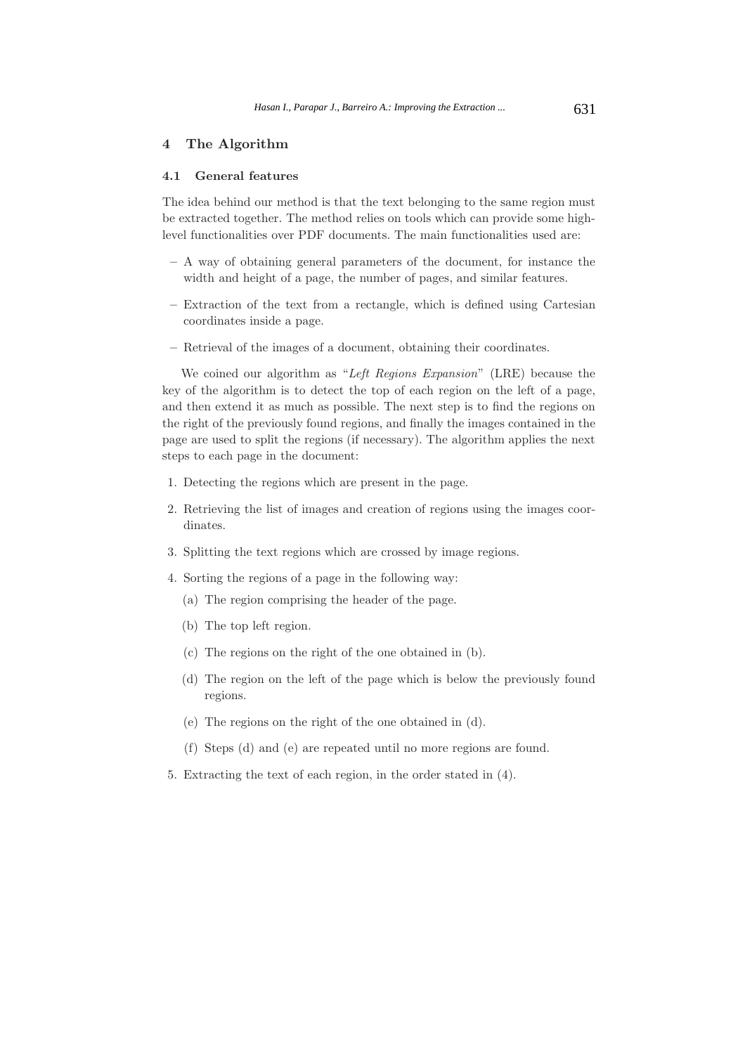# **4 The Algorithm**

### **4.1 General features**

The idea behind our method is that the text belonging to the same region must be extracted together. The method relies on tools which can provide some highlevel functionalities over PDF documents. The main functionalities used are:

- **–** A way of obtaining general parameters of the document, for instance the width and height of a page, the number of pages, and similar features.
- **–** Extraction of the text from a rectangle, which is defined using Cartesian coordinates inside a page.
- **–** Retrieval of the images of a document, obtaining their coordinates.

We coined our algorithm as "*Left Regions Expansion*" (LRE) because the key of the algorithm is to detect the top of each region on the left of a page, and then extend it as much as possible. The next step is to find the regions on the right of the previously found regions, and finally the images contained in the page are used to split the regions (if necessary). The algorithm applies the next steps to each page in the document:

- 1. Detecting the regions which are present in the page.
- 2. Retrieving the list of images and creation of regions using the images coordinates.
- 3. Splitting the text regions which are crossed by image regions.
- 4. Sorting the regions of a page in the following way:
	- (a) The region comprising the header of the page.
	- (b) The top left region.
	- (c) The regions on the right of the one obtained in (b).
	- (d) The region on the left of the page which is below the previously found regions.
	- (e) The regions on the right of the one obtained in (d).
	- (f) Steps (d) and (e) are repeated until no more regions are found.
- 5. Extracting the text of each region, in the order stated in (4).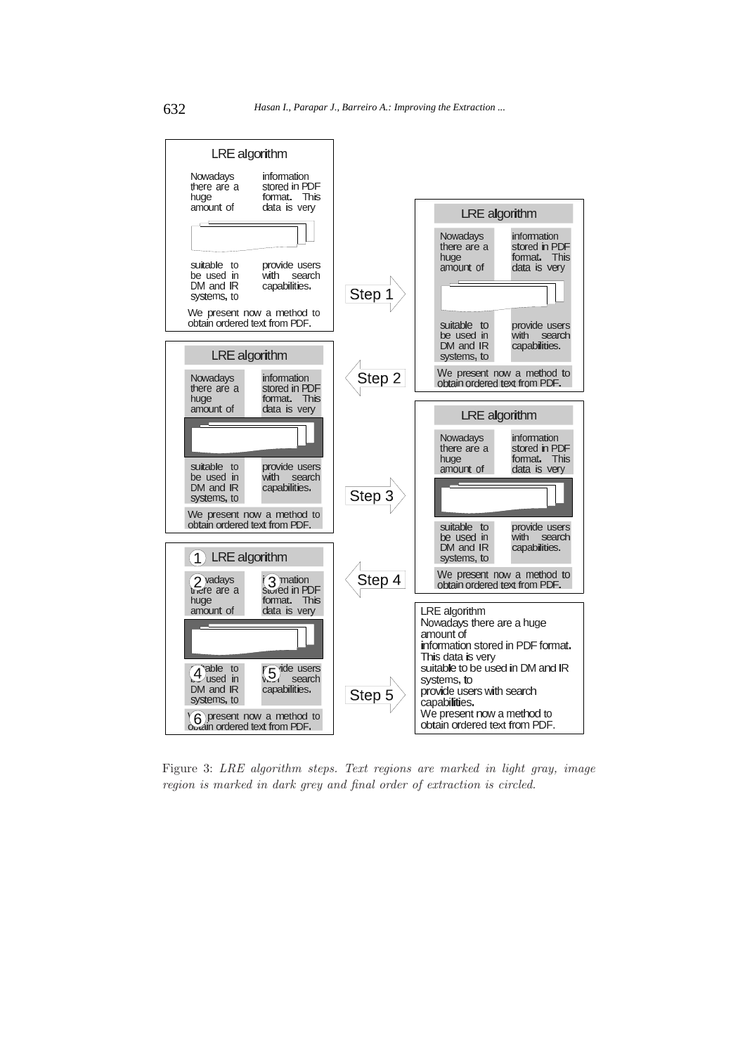

Figure 3: *LRE algorithm steps. Text regions are marked in light gray, image region is marked in dark grey and final order of extraction is circled.*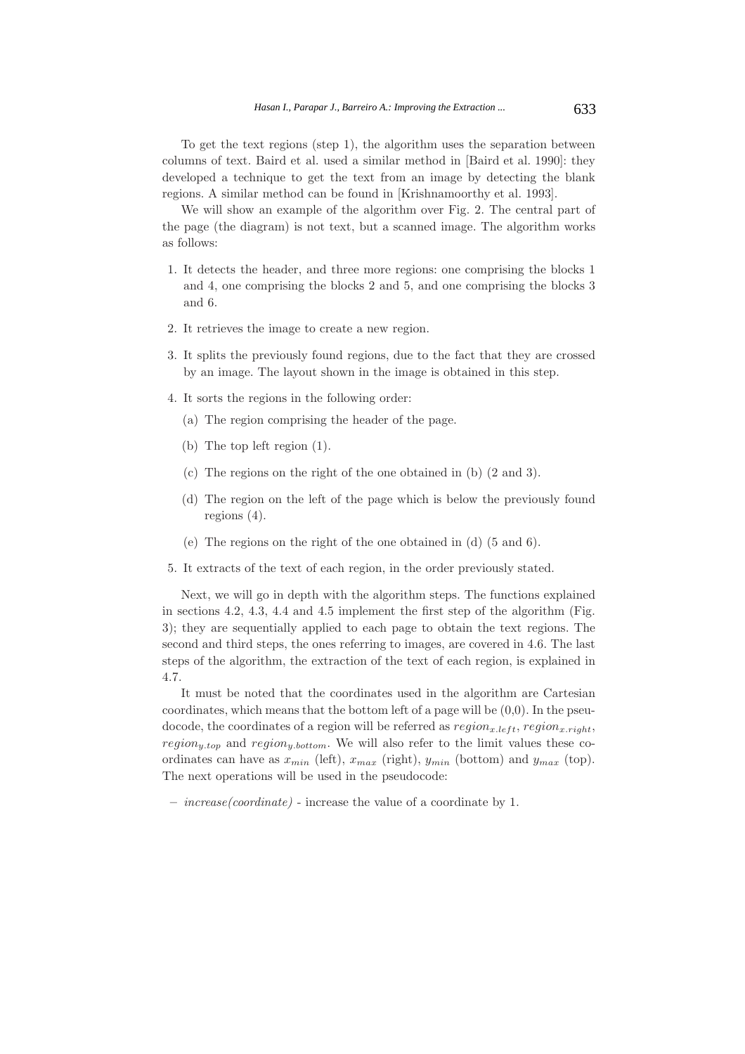To get the text regions (step 1), the algorithm uses the separation between columns of text. Baird et al. used a similar method in [Baird et al. 1990]: they developed a technique to get the text from an image by detecting the blank regions. A similar method can be found in [Krishnamoorthy et al. 1993].

We will show an example of the algorithm over Fig. 2. The central part of the page (the diagram) is not text, but a scanned image. The algorithm works as follows:

- 1. It detects the header, and three more regions: one comprising the blocks 1 and 4, one comprising the blocks 2 and 5, and one comprising the blocks 3 and 6.
- 2. It retrieves the image to create a new region.
- 3. It splits the previously found regions, due to the fact that they are crossed by an image. The layout shown in the image is obtained in this step.
- 4. It sorts the regions in the following order:
	- (a) The region comprising the header of the page.
	- (b) The top left region (1).
	- (c) The regions on the right of the one obtained in (b) (2 and 3).
	- (d) The region on the left of the page which is below the previously found regions (4).
	- (e) The regions on the right of the one obtained in (d) (5 and 6).
- 5. It extracts of the text of each region, in the order previously stated.

Next, we will go in depth with the algorithm steps. The functions explained in sections 4.2, 4.3, 4.4 and 4.5 implement the first step of the algorithm (Fig. 3); they are sequentially applied to each page to obtain the text regions. The second and third steps, the ones referring to images, are covered in 4.6. The last steps of the algorithm, the extraction of the text of each region, is explained in 4.7.

It must be noted that the coordinates used in the algorithm are Cartesian coordinates, which means that the bottom left of a page will be  $(0,0)$ . In the pseudocode, the coordinates of a region will be referred as  $region_{x,left}$ , region<sub>x</sub>, right,  $region_{y,top}$  and  $region_{y,bottom}$ . We will also refer to the limit values these coordinates can have as  $x_{min}$  (left),  $x_{max}$  (right),  $y_{min}$  (bottom) and  $y_{max}$  (top). The next operations will be used in the pseudocode:

**–** *increase(coordinate)* - increase the value of a coordinate by 1.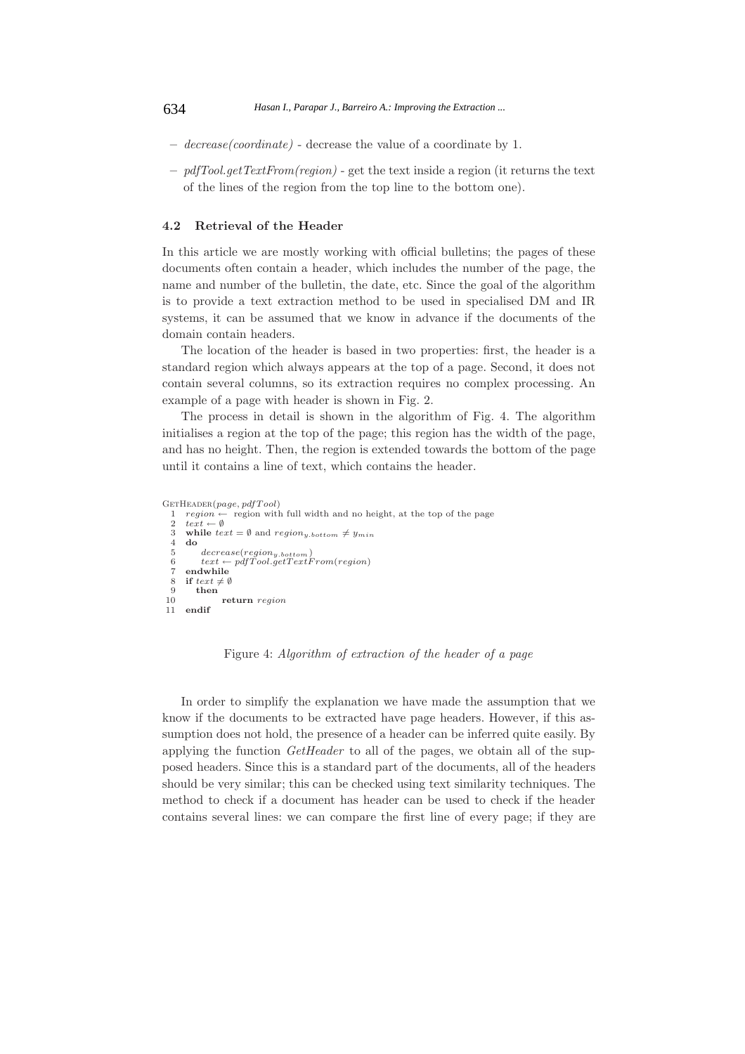- **–** *decrease(coordinate)* decrease the value of a coordinate by 1.
- **–** *pdfTool.getTextFrom(region)* get the text inside a region (it returns the text of the lines of the region from the top line to the bottom one).

# **4.2 Retrieval of the Header**

In this article we are mostly working with official bulletins; the pages of these documents often contain a header, which includes the number of the page, the name and number of the bulletin, the date, etc. Since the goal of the algorithm is to provide a text extraction method to be used in specialised DM and IR systems, it can be assumed that we know in advance if the documents of the domain contain headers.

The location of the header is based in two properties: first, the header is a standard region which always appears at the top of a page. Second, it does not contain several columns, so its extraction requires no complex processing. An example of a page with header is shown in Fig. 2.

The process in detail is shown in the algorithm of Fig. 4. The algorithm initialises a region at the top of the page; this region has the width of the page, and has no height. Then, the region is extended towards the bottom of the page until it contains a line of text, which contains the header.

```
GetHeader(page, pdfT ool)
```

```
1 region ← region with full width and no height, at the top of the page \tanctan \theta \tanctan \theta3 while text = \emptyset and region_{y.bottom} \neq y_{min}<br>4 do
      4 do
  5 decrease(regiony.bottom)
6 text ← pdfT ool.getT extF rom(region)
7 endwhile
 8 if text \{text} \neq \emptyset<br>9 then
9 then
10 return region
     endif
```
Figure 4: *Algorithm of extraction of the header of a page*

In order to simplify the explanation we have made the assumption that we know if the documents to be extracted have page headers. However, if this assumption does not hold, the presence of a header can be inferred quite easily. By applying the function *GetHeader* to all of the pages, we obtain all of the supposed headers. Since this is a standard part of the documents, all of the headers should be very similar; this can be checked using text similarity techniques. The method to check if a document has header can be used to check if the header contains several lines: we can compare the first line of every page; if they are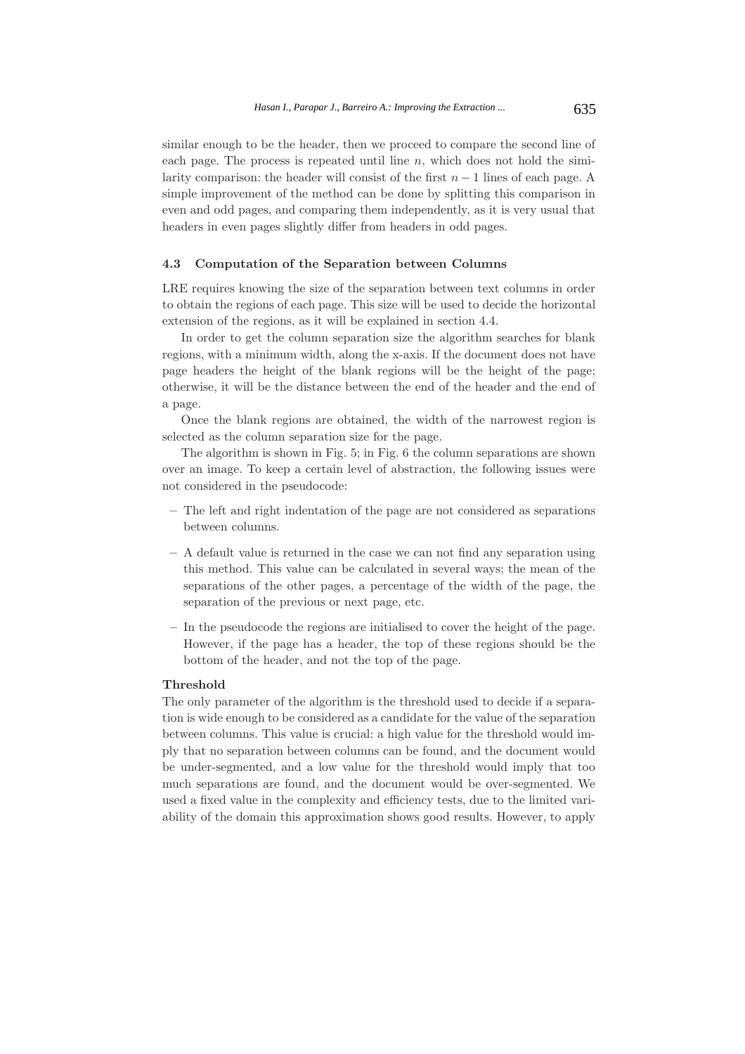similar enough to be the header, then we proceed to compare the second line of each page. The process is repeated until line  $n$ , which does not hold the similarity comparison: the header will consist of the first  $n-1$  lines of each page. A simple improvement of the method can be done by splitting this comparison in even and odd pages, and comparing them independently, as it is very usual that headers in even pages slightly differ from headers in odd pages.

### **4.3 Computation of the Separation between Columns**

LRE requires knowing the size of the separation between text columns in order to obtain the regions of each page. This size will be used to decide the horizontal extension of the regions, as it will be explained in section 4.4.

In order to get the column separation size the algorithm searches for blank regions, with a minimum width, along the x-axis. If the document does not have page headers the height of the blank regions will be the height of the page; otherwise, it will be the distance between the end of the header and the end of a page.

Once the blank regions are obtained, the width of the narrowest region is selected as the column separation size for the page.

The algorithm is shown in Fig. 5; in Fig. 6 the column separations are shown over an image. To keep a certain level of abstraction, the following issues were not considered in the pseudocode:

- **–** The left and right indentation of the page are not considered as separations between columns.
- **–** A default value is returned in the case we can not find any separation using this method. This value can be calculated in several ways; the mean of the separations of the other pages, a percentage of the width of the page, the separation of the previous or next page, etc.
- **–** In the pseudocode the regions are initialised to cover the height of the page. However, if the page has a header, the top of these regions should be the bottom of the header, and not the top of the page.

### **Threshold**

The only parameter of the algorithm is the threshold used to decide if a separation is wide enough to be considered as a candidate for the value of the separation between columns. This value is crucial: a high value for the threshold would imply that no separation between columns can be found, and the document would be under-segmented, and a low value for the threshold would imply that too much separations are found, and the document would be over-segmented. We used a fixed value in the complexity and efficiency tests, due to the limited variability of the domain this approximation shows good results. However, to apply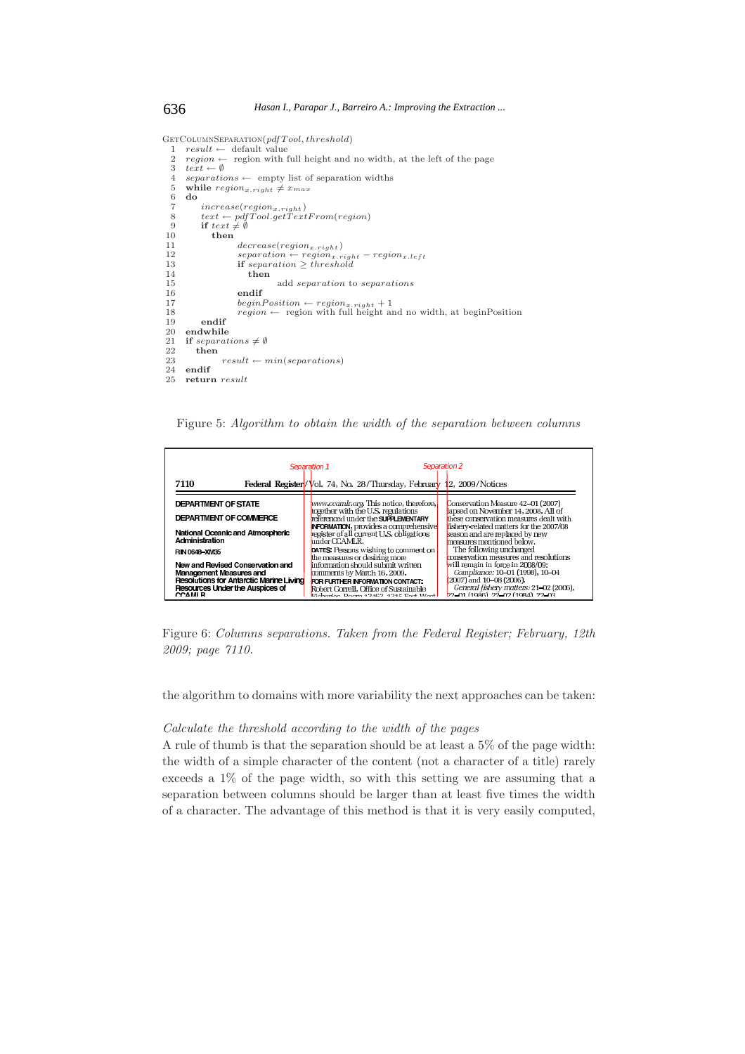```
GetColumnSeparation(pdfT ool, threshold)
   1 result ← default value<br>
2 region ← region with full height and no width, at the left of the page
  3 text \leftrightarrow \emptyset<br>4 separation
  4 separations ← empty list of separation widths<br>5 while region<sub>g</sub> right \neq Tragg
  5 while region_{x.right} \neq x_{max}<br>6 do
       6 do
  \frac{7}{7} increase(region<sub>x.right)</sub><br>8 text \leftarrow ndfTool.getText
   8 text ← pdfTool.getTextFrom(region)<br>9 if text \# \emptyset10 then
11 decrease(region_{x, right})<br>
12 dencease(region_{x, right})12 separation ← regionx.right − regionx.left
13 if separation ≥ threshold
14 then
15 add separation to separations
                        endif
 17 beginPosition ← \text{region}_{x.\text{right}} + 1<br>18 region ← region with full height and no width, at beginPosition
\begin{array}{r} 18 \\ 19 \\ 20 \\ \end{array} endif
20 endwhile
21 if separations \neq \emptyset<br>22 then
22 then
23 result \leftarrow min(separations)<br>24 endif
\frac{24}{25} endif
       25 return result
```
Figure 5: *Algorithm to obtain the width of the separation between columns*



Figure 6: *Columns separations. Taken from the Federal Register; February, 12th 2009; page 7110.*

the algorithm to domains with more variability the next approaches can be taken:

#### *Calculate the threshold according to the width of the pages*

A rule of thumb is that the separation should be at least a 5% of the page width: the width of a simple character of the content (not a character of a title) rarely exceeds a 1% of the page width, so with this setting we are assuming that a separation between columns should be larger than at least five times the width of a character. The advantage of this method is that it is very easily computed,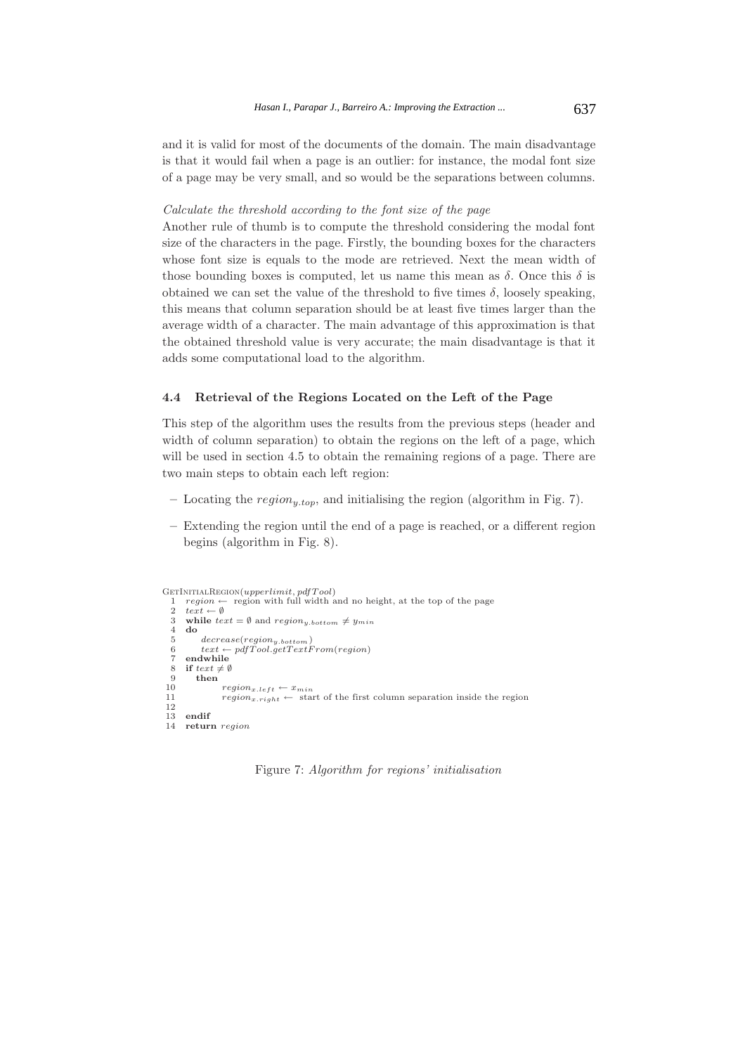and it is valid for most of the documents of the domain. The main disadvantage is that it would fail when a page is an outlier: for instance, the modal font size of a page may be very small, and so would be the separations between columns.

#### *Calculate the threshold according to the font size of the page*

Another rule of thumb is to compute the threshold considering the modal font size of the characters in the page. Firstly, the bounding boxes for the characters whose font size is equals to the mode are retrieved. Next the mean width of those bounding boxes is computed, let us name this mean as  $\delta$ . Once this  $\delta$  is obtained we can set the value of the threshold to five times  $\delta$ , loosely speaking, this means that column separation should be at least five times larger than the average width of a character. The main advantage of this approximation is that the obtained threshold value is very accurate; the main disadvantage is that it adds some computational load to the algorithm.

### **4.4 Retrieval of the Regions Located on the Left of the Page**

This step of the algorithm uses the results from the previous steps (header and width of column separation) to obtain the regions on the left of a page, which will be used in section 4.5 to obtain the remaining regions of a page. There are two main steps to obtain each left region:

- **–** Locating the region*y.top*, and initialising the region (algorithm in Fig. 7).
- **–** Extending the region until the end of a page is reached, or a different region begins (algorithm in Fig. 8).

```
GetInitialRegion(upperlimit, pdfT ool)
   1 region ← region with full width and no height, at the top of the page 2 \text{ text} \leftarrow \emptyset2 text \leftrightarrow \emptyset<br>3 while tex
   3 while \text{text } text = \emptyset and \text{region}_{y \text{.} bottom} \neq y_{min}<br>4 do
   4 do
   \begin{array}{ll} 5 \hspace{3.5cm} decrease (region_{y.bottom}) \ 6 \hspace{3.7cm} text \leftarrow pdf Tool.getTextl \end{array}6 text \leftarrow pdfTool.getTextFrom(region)<br>
7 endwhile
   7 endwhile<br>8 if text{text} \neq \emptyset8 if text{ } text \neq \emptyset<br>9 then
 9 then
 10 region_{x.left} \leftarrow x_{min}<br>11 region \leftarrow \text{sta}r_{region}r_{right} \leftarrow start of the first column separation inside the region
 \begin{array}{c} 12 \\ 13 \end{array}13 endif
 14 return region
```
Figure 7: *Algorithm for regions' initialisation*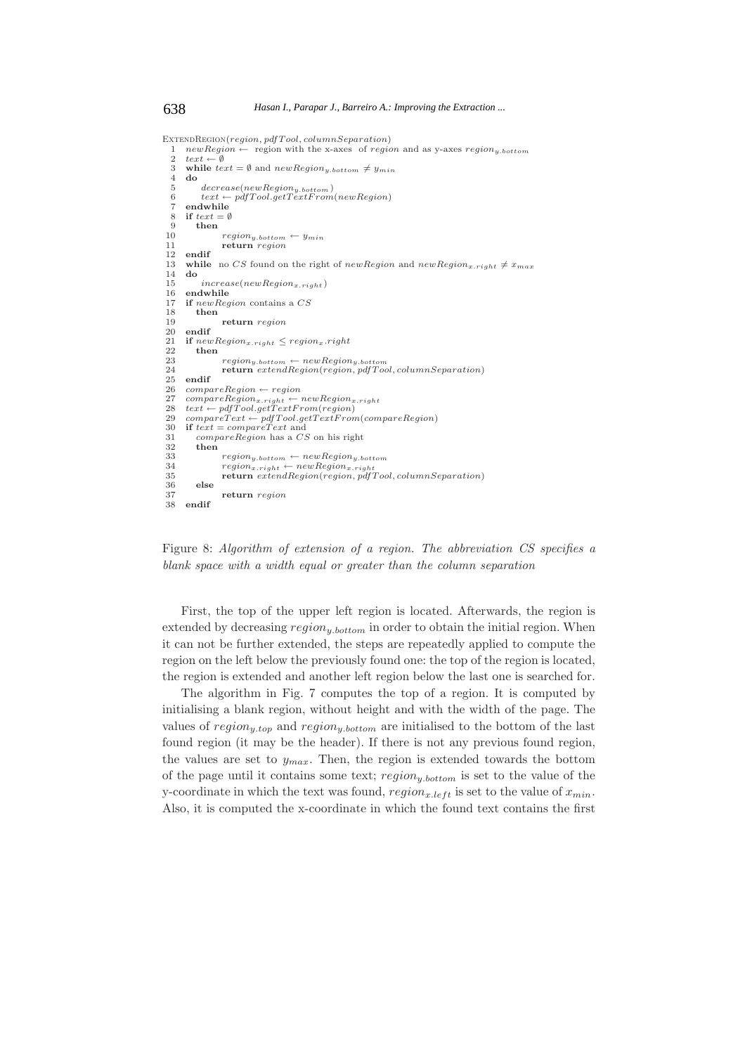ExtendRegion(*region, pdfT ool, columnSeparation*) 1 *newRegion* ← region with the x-axes of *region* and as y-axes *region*<sub>y</sub>.bottom<br>2 *text* ←  $\emptyset$ 2  $text \leftrightarrow \emptyset$ <br>3 while text 3 while  $text = \emptyset$  and  $newRegion_{y.bottom} \neq y_{min}$ <br>4 do 4 **do**  $rac{4}{5}$   $decrease(newRegion_{y.bottom})$ <br>  $6$   $text \leftarrow pdfTool.getTextFrom$ 6 *text* ← *pdfT ool.getT extF rom*(*newRegion*) 7 **endwhile**<br>8 **if**  $text = 0$ 8 **if**  $text{ } t = \emptyset$ <br>9 **then** 9 **then** <sup>10</sup> *regiony.bottom* <sup>←</sup> *<sup>y</sup>min* 11 **return** *region* 12 **endif** 13 **while** no *CS* found on the right of *newRegion* and  $newRegion_{x, right} \neq x_{max}$ <br>14 **do** 14 **do** <sup>15</sup> *increase*(*newRegionx.right* ) endwhile 17 **if** *newRegion* contains a *CS* 18 **then** 19 **return** *region*  $\begin{bmatrix} 20 \\ 21 \end{bmatrix}$  **endif**<br>21 **if** *neu* 21 **if**  $newRegion_{x, right} \leq region_x.right$ <br>22 **then** 22 **then**  $23$   $region_{y.bottom} \leftarrow newRegion_{y.bottom}$ <br>  $24$  **return**  $extendRegion(region, pdf Tool, columnSeparation)$ 25 **endif** 26  $compareRegion \leftarrow region$ <br>27  $compare Region \leftarrow \leftarrow \leftarrow$  $27 \quad compareRegion_{x.right} \leftarrow newRegion_{x.right} \ (28 \quad text \leftarrow pdf Tool.getTextFrom (region))$ 29  $compactText \leftarrow pdf Tool.getTextFrom(compareRegion)$ <br>30 **if**  $text = compareText$  and 30 **if** *text* = *compareT ext* and 31 *compareRegion* has a *CS* on his right 32 **then** 33  $\begin{array}{r} \nregion_{y.bottom} \leftarrow newRegion_{y.bottom} \\ \n34 \qquad \qquad \text{region}_{x.right} \leftarrow newRegion_{x.right} \n\end{array}$ <sup>34</sup> *regionx.right* <sup>←</sup> *newRegionx.right* 35 **return** *extendRegion*(*region, pdfT ool, columnSeparation*) 36 **else** 37 **return** *region* 38 **endif**

Figure 8: *Algorithm of extension of a region. The abbreviation CS specifies a blank space with a width equal or greater than the column separation*

First, the top of the upper left region is located. Afterwards, the region is extended by decreasing region*y.bottom* in order to obtain the initial region. When it can not be further extended, the steps are repeatedly applied to compute the region on the left below the previously found one: the top of the region is located, the region is extended and another left region below the last one is searched for.

The algorithm in Fig. 7 computes the top of a region. It is computed by initialising a blank region, without height and with the width of the page. The values of region*y.top* and region*y.bottom* are initialised to the bottom of the last found region (it may be the header). If there is not any previous found region, the values are set to <sup>y</sup>*max*. Then, the region is extended towards the bottom of the page until it contains some text; region*y.bottom* is set to the value of the y-coordinate in which the text was found,  $region_{x.left}$  is set to the value of  $x_{min}$ . Also, it is computed the x-coordinate in which the found text contains the first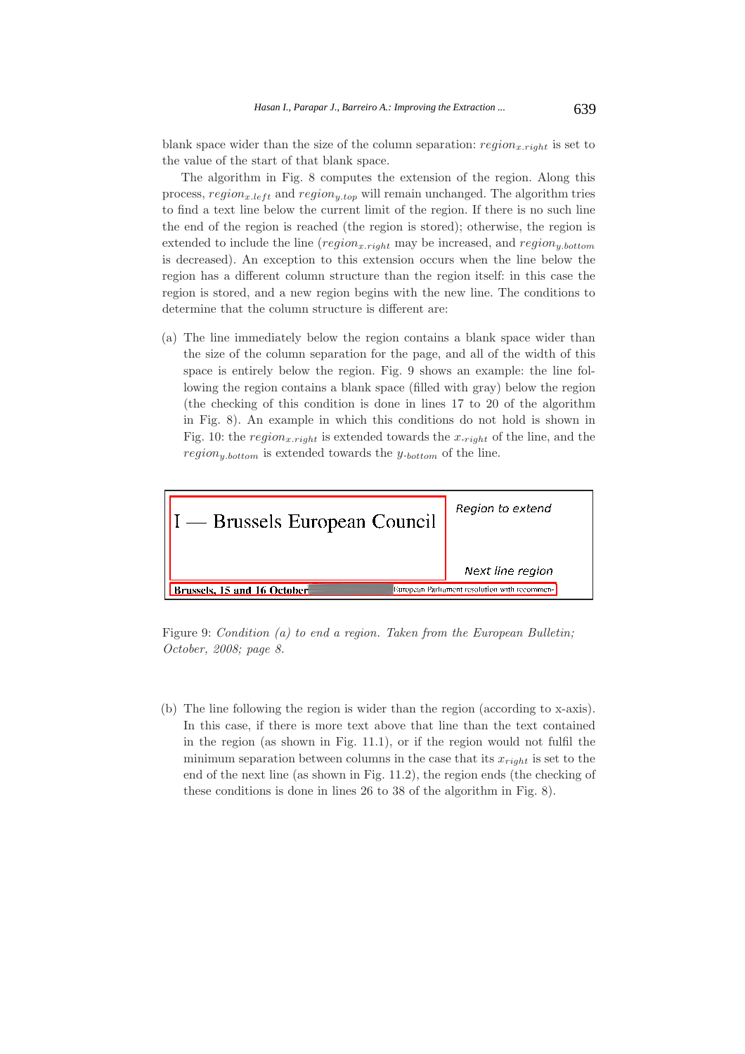blank space wider than the size of the column separation:  $region_{x,riaht}$  is set to the value of the start of that blank space.

The algorithm in Fig. 8 computes the extension of the region. Along this process,  $region_{x.left}$  and  $region_{y-top}$  will remain unchanged. The algorithm tries to find a text line below the current limit of the region. If there is no such line the end of the region is reached (the region is stored); otherwise, the region is extended to include the line (region*x.right* may be increased, and region*y.bottom* is decreased). An exception to this extension occurs when the line below the region has a different column structure than the region itself: in this case the region is stored, and a new region begins with the new line. The conditions to determine that the column structure is different are:

(a) The line immediately below the region contains a blank space wider than the size of the column separation for the page, and all of the width of this space is entirely below the region. Fig. 9 shows an example: the line following the region contains a blank space (filled with gray) below the region (the checking of this condition is done in lines 17 to 20 of the algorithm in Fig. 8). An example in which this conditions do not hold is shown in Fig. 10: the  $region_{x.right}$  is extended towards the  $x_{\text{right}}$  of the line, and the region*y.bottom* is extended towards the y.*bottom* of the line.



Figure 9: *Condition (a) to end a region. Taken from the European Bulletin; October, 2008; page 8.*

(b) The line following the region is wider than the region (according to x-axis). In this case, if there is more text above that line than the text contained in the region (as shown in Fig. 11.1), or if the region would not fulfil the minimum separation between columns in the case that its  $x_{right}$  is set to the end of the next line (as shown in Fig. 11.2), the region ends (the checking of these conditions is done in lines 26 to 38 of the algorithm in Fig. 8).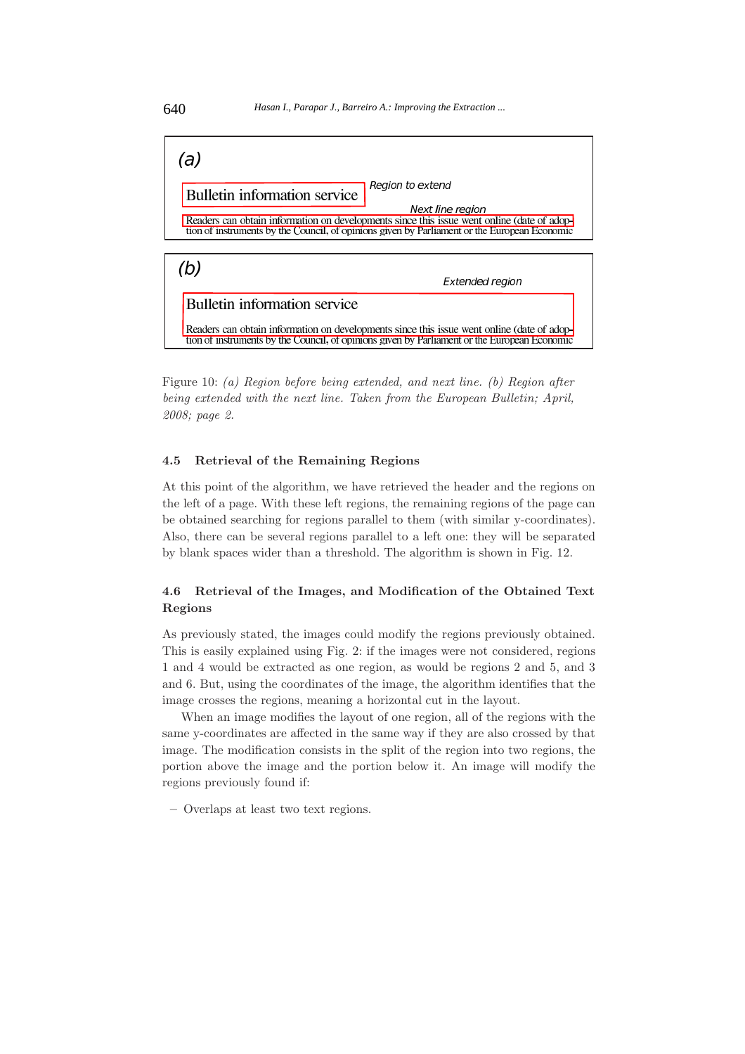

Figure 10: *(a) Region before being extended, and next line. (b) Region after being extended with the next line. Taken from the European Bulletin; April, 2008; page 2.*

# **4.5 Retrieval of the Remaining Regions**

At this point of the algorithm, we have retrieved the header and the regions on the left of a page. With these left regions, the remaining regions of the page can be obtained searching for regions parallel to them (with similar y-coordinates). Also, there can be several regions parallel to a left one: they will be separated by blank spaces wider than a threshold. The algorithm is shown in Fig. 12.

# **4.6 Retrieval of the Images, and Modification of the Obtained Text Regions**

As previously stated, the images could modify the regions previously obtained. This is easily explained using Fig. 2: if the images were not considered, regions 1 and 4 would be extracted as one region, as would be regions 2 and 5, and 3 and 6. But, using the coordinates of the image, the algorithm identifies that the image crosses the regions, meaning a horizontal cut in the layout.

When an image modifies the layout of one region, all of the regions with the same y-coordinates are affected in the same way if they are also crossed by that image. The modification consists in the split of the region into two regions, the portion above the image and the portion below it. An image will modify the regions previously found if:

**–** Overlaps at least two text regions.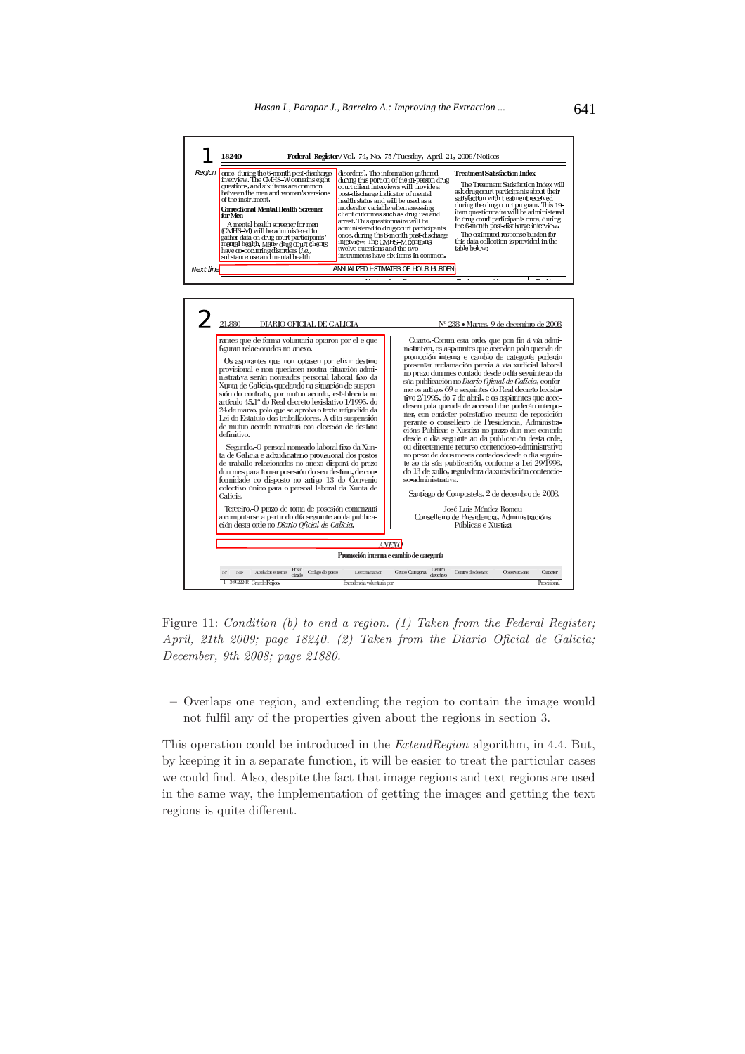



Figure 11: *Condition (b) to end a region. (1) Taken from the Federal Register; April, 21th 2009; page 18240. (2) Taken from the Diario Oficial de Galicia; December, 9th 2008; page 21880.*

**–** Overlaps one region, and extending the region to contain the image would not fulfil any of the properties given about the regions in section 3.

This operation could be introduced in the *ExtendRegion* algorithm, in 4.4. But, by keeping it in a separate function, it will be easier to treat the particular cases we could find. Also, despite the fact that image regions and text regions are used in the same way, the implementation of getting the images and getting the text regions is quite different.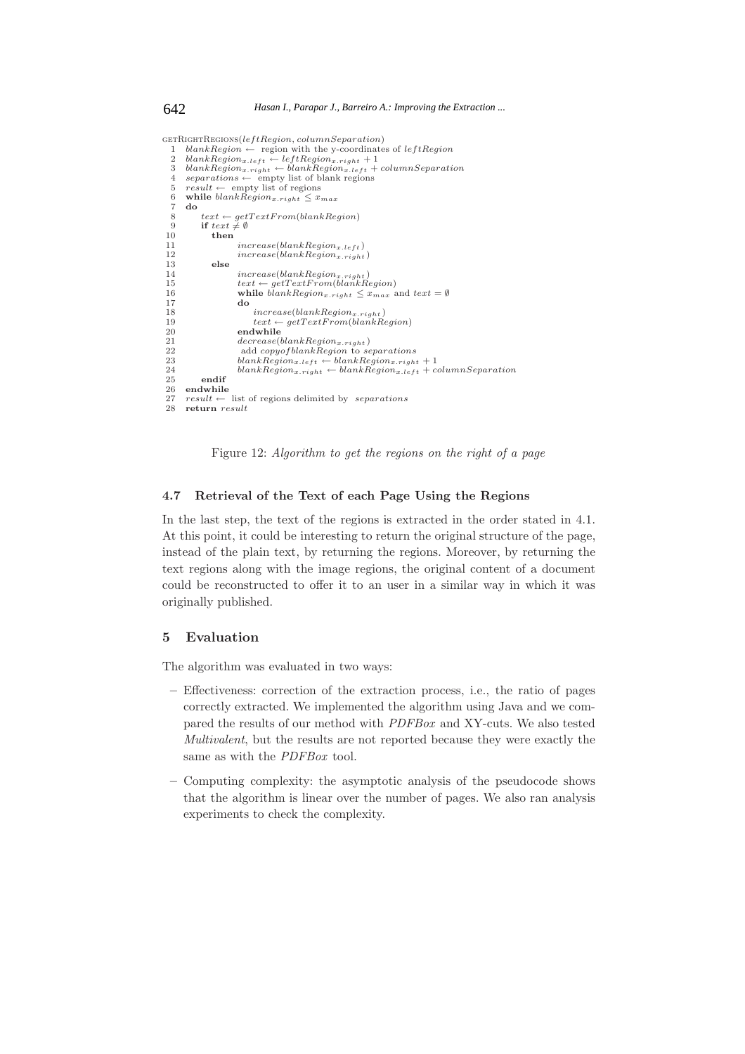$\verb|GETRIGHTREGIONS| (leftRegion, columnSeparation)$ 1 *blankRegion* ← region with the y-coordinates of *leftRegion*<br>2 *blankRegion<sub>a</sub>.left* ← *leftRegion<sub>a</sub>.right* + 1 column Separati

```
3 blankRegion<sub>x.right</sub> ← blankRegion<sub>x.left</sub> + columnSeparation<br>4 separations ← empty list of blank regions
 5 result \leftarrow \text{empty list of regions}<br>6 while blankRegion_{x, right} \leq x_i6 while blankRegion_{x, right} \leq x_{max}<br>
7 do
       7 do
 8 text \leftrightarrow getTextFrom(blankRegion)<br>9 if text \neq \emptyset9 if text{ } t \neq \emptyset<br>10 then
10 then
11 increase(blankRegion<sub>x.left</sub>)<br>
12 increase(blankRegion<sub>n with</sub>
12 increase(blankRegionx.right )
13 else
14 increase(blankRegionx.right )
15 text ← getT extF rom(blankRegion)
16 while \ddot{b}lankRegion<sub>x.right</sub> \leq x_{max} and text = \emptyset<br>17
17 do
18 increase(blankRegion<sub>x.right)<br>
19 text = aetTextErom(blankRegion)</sub>
19 text \leftarrow getTextFrom(blankRegion)<br>20 endwhile
20 endwhile
21 decrease (blank Region_{x, right})<br>
22 add copyofblankRegion to separations<br>
23 blankRegion<sub>x.left</sub> ← blankRegion<sub>x.right</sub> + 1<br>
24 blankRegion<sub>x.right</sub> ← blankRegion<sub>x.left</sub> + columnSeparation<br>
25 andif
25 endif
       endwhile
27 result \leftarrow list of regions delimited by separations<br>28 return result28 return result
```
Figure 12: *Algorithm to get the regions on the right of a page*

### **4.7 Retrieval of the Text of each Page Using the Regions**

In the last step, the text of the regions is extracted in the order stated in 4.1. At this point, it could be interesting to return the original structure of the page, instead of the plain text, by returning the regions. Moreover, by returning the text regions along with the image regions, the original content of a document could be reconstructed to offer it to an user in a similar way in which it was originally published.

### **5 Evaluation**

The algorithm was evaluated in two ways:

- **–** Effectiveness: correction of the extraction process, i.e., the ratio of pages correctly extracted. We implemented the algorithm using Java and we compared the results of our method with *PDFBox* and XY-cuts. We also tested *Multivalent*, but the results are not reported because they were exactly the same as with the *PDFBox* tool.
- **–** Computing complexity: the asymptotic analysis of the pseudocode shows that the algorithm is linear over the number of pages. We also ran analysis experiments to check the complexity.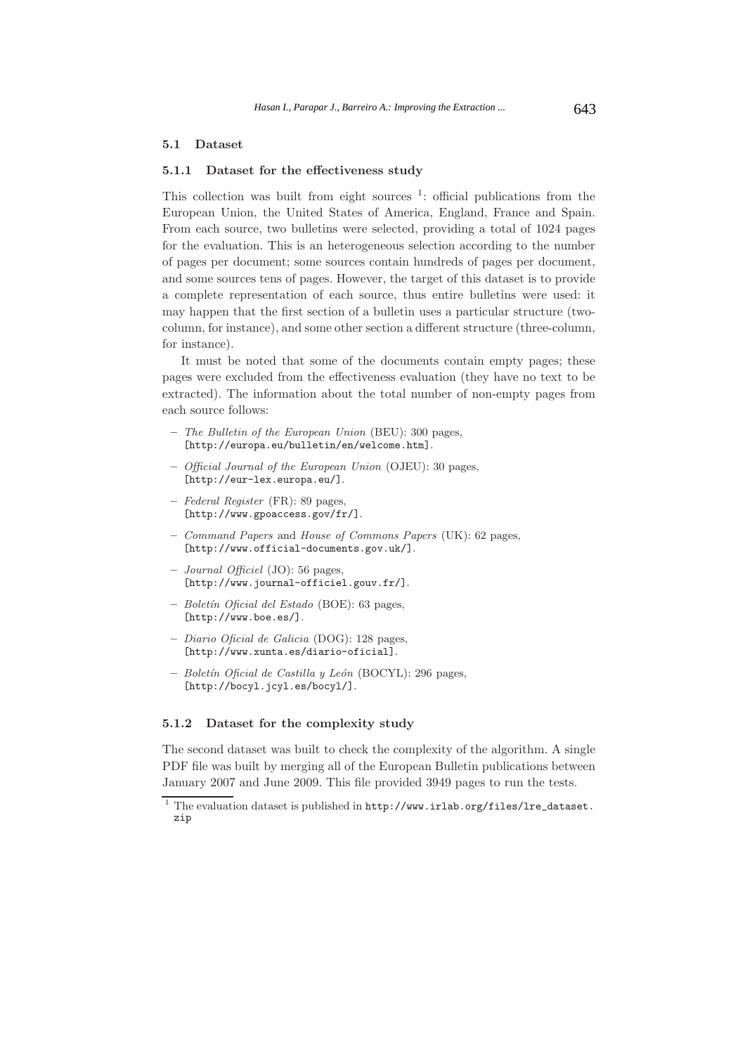### **5.1 Dataset**

### **5.1.1 Dataset for the effectiveness study**

This collection was built from eight sources  $\frac{1}{1}$ : official publications from the European Union, the United States of America, England, France and Spain. From each source, two bulletins were selected, providing a total of 1024 pages for the evaluation. This is an heterogeneous selection according to the number of pages per document; some sources contain hundreds of pages per document, and some sources tens of pages. However, the target of this dataset is to provide a complete representation of each source, thus entire bulletins were used: it may happen that the first section of a bulletin uses a particular structure (twocolumn, for instance), and some other section a different structure (three-column, for instance).

It must be noted that some of the documents contain empty pages; these pages were excluded from the effectiveness evaluation (they have no text to be extracted). The information about the total number of non-empty pages from each source follows:

- **–** The Bulletin of the European Union (BEU): 300 pages, [http://europa.eu/bulletin/en/welcome.htm].
- **–** Official Journal of the European Union (OJEU): 30 pages, [http://eur-lex.europa.eu/].
- **–** Federal Register (FR): 89 pages, [http://www.gpoaccess.gov/fr/].
- **–** Command Papers and House of Commons Papers (UK): 62 pages, [http://www.official-documents.gov.uk/].
- **–** Journal Officiel (JO): 56 pages, [http://www.journal-officiel.gouv.fr/].
- **–** Bolet´ın Oficial del Estado (BOE): 63 pages, [http://www.boe.es/].
- **–** Diario Oficial de Galicia (DOG): 128 pages, [http://www.xunta.es/diario-oficial].
- **–** Bolet´ın Oficial de Castilla y Le´on (BOCYL): 296 pages, [http://bocyl.jcyl.es/bocyl/].

#### **5.1.2 Dataset for the complexity study**

The second dataset was built to check the complexity of the algorithm. A single PDF file was built by merging all of the European Bulletin publications between January 2007 and June 2009. This file provided 3949 pages to run the tests.

<sup>&</sup>lt;sup>1</sup> The evaluation dataset is published in http://www.irlab.org/files/lre\_dataset. zip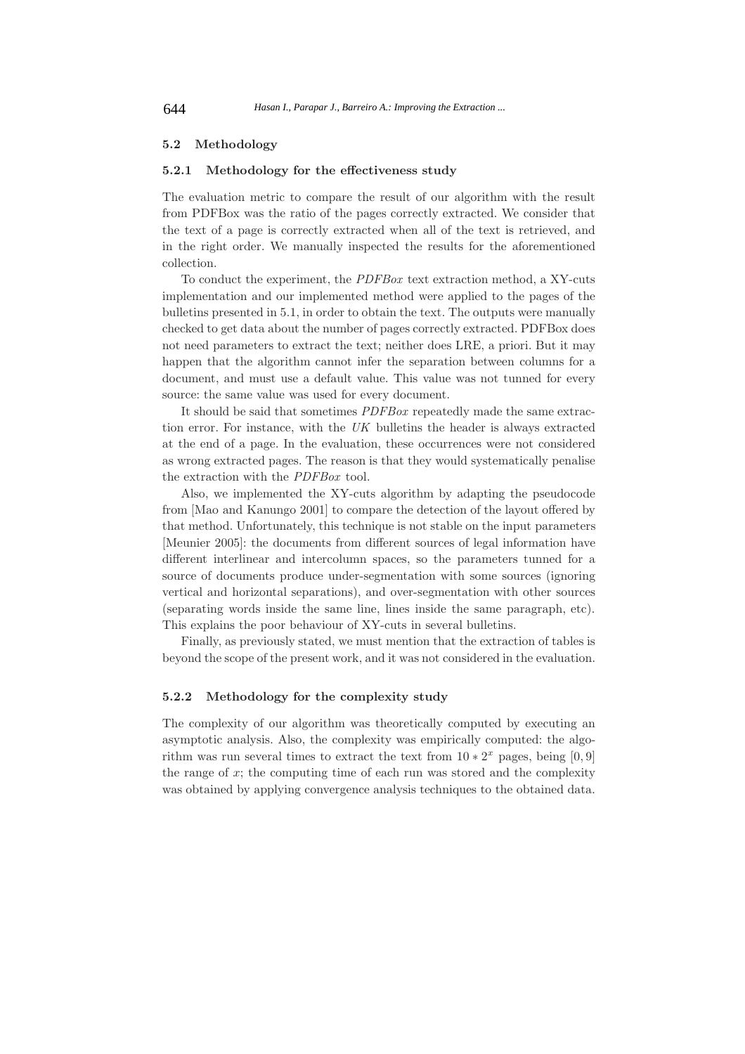# **5.2 Methodology**

### **5.2.1 Methodology for the effectiveness study**

The evaluation metric to compare the result of our algorithm with the result from PDFBox was the ratio of the pages correctly extracted. We consider that the text of a page is correctly extracted when all of the text is retrieved, and in the right order. We manually inspected the results for the aforementioned collection.

To conduct the experiment, the *PDFBox* text extraction method, a XY-cuts implementation and our implemented method were applied to the pages of the bulletins presented in 5.1, in order to obtain the text. The outputs were manually checked to get data about the number of pages correctly extracted. PDFBox does not need parameters to extract the text; neither does LRE, a priori. But it may happen that the algorithm cannot infer the separation between columns for a document, and must use a default value. This value was not tunned for every source: the same value was used for every document.

It should be said that sometimes *PDFBox* repeatedly made the same extraction error. For instance, with the *UK* bulletins the header is always extracted at the end of a page. In the evaluation, these occurrences were not considered as wrong extracted pages. The reason is that they would systematically penalise the extraction with the *PDFBox* tool.

Also, we implemented the XY-cuts algorithm by adapting the pseudocode from [Mao and Kanungo 2001] to compare the detection of the layout offered by that method. Unfortunately, this technique is not stable on the input parameters [Meunier 2005]: the documents from different sources of legal information have different interlinear and intercolumn spaces, so the parameters tunned for a source of documents produce under-segmentation with some sources (ignoring vertical and horizontal separations), and over-segmentation with other sources (separating words inside the same line, lines inside the same paragraph, etc). This explains the poor behaviour of XY-cuts in several bulletins.

Finally, as previously stated, we must mention that the extraction of tables is beyond the scope of the present work, and it was not considered in the evaluation.

# **5.2.2 Methodology for the complexity study**

The complexity of our algorithm was theoretically computed by executing an asymptotic analysis. Also, the complexity was empirically computed: the algorithm was run several times to extract the text from  $10 * 2^x$  pages, being [0, 9] the range of  $x$ ; the computing time of each run was stored and the complexity was obtained by applying convergence analysis techniques to the obtained data.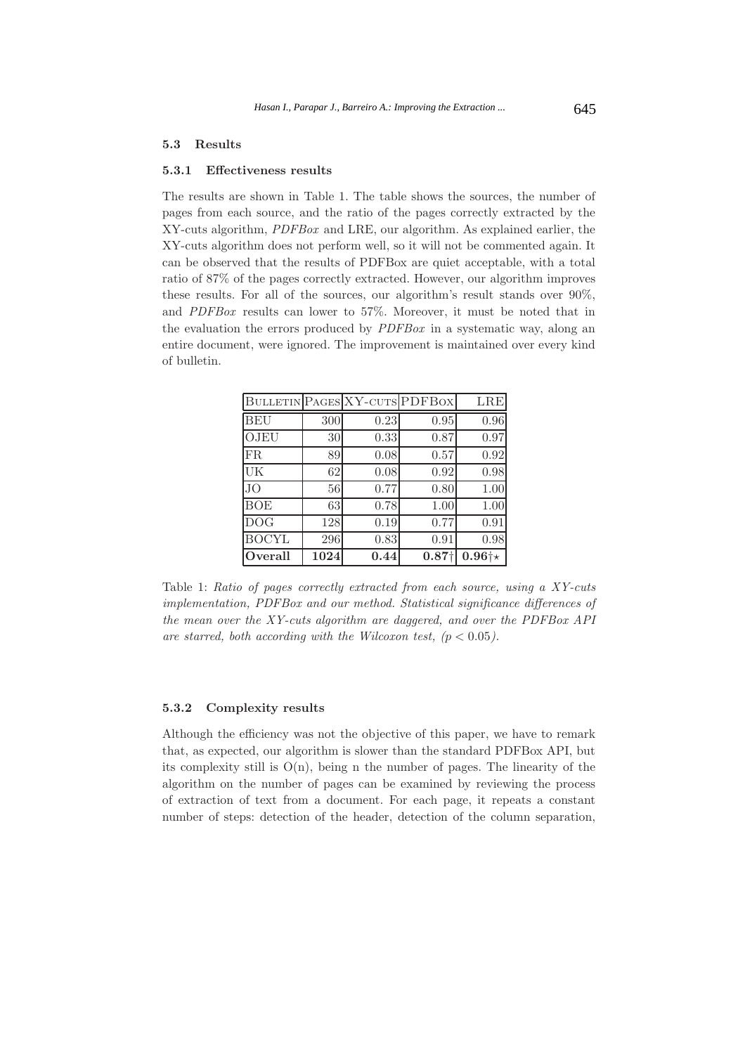### **5.3 Results**

#### **5.3.1 Effectiveness results**

The results are shown in Table 1. The table shows the sources, the number of pages from each source, and the ratio of the pages correctly extracted by the XY-cuts algorithm, *PDFBox* and LRE, our algorithm. As explained earlier, the XY-cuts algorithm does not perform well, so it will not be commented again. It can be observed that the results of PDFBox are quiet acceptable, with a total ratio of 87% of the pages correctly extracted. However, our algorithm improves these results. For all of the sources, our algorithm's result stands over 90%, and *PDFBox* results can lower to 57%. Moreover, it must be noted that in the evaluation the errors produced by *PDFBox* in a systematic way, along an entire document, were ignored. The improvement is maintained over every kind of bulletin.

| Overall      | 1024 | 0.44 | 0.87 <sup>†</sup>             | $0.96 +\star$ |
|--------------|------|------|-------------------------------|---------------|
| <b>BOCYL</b> | 296  | 0.83 | 0.91                          | 0.98          |
| <b>DOG</b>   | 128  | 0.19 | 0.77                          | 0.91          |
| <b>BOE</b>   | 63   | 0.78 | 1.00                          | 1.00          |
| JO.          | 56   | 0.77 | 0.80                          | 1.00          |
| UK           | 62   | 0.08 | 0.92                          | 0.98          |
| FR.          | 89   | 0.08 | 0.57                          | 0.92          |
| OJEU         | 30   | 0.33 | 0.87                          | 0.97          |
| <b>BEU</b>   | 300  | 0.23 | 0.95                          | 0.96          |
|              |      |      | BULLETIN PAGES XY-CUTS PDFBOX | LRE           |

Table 1: *Ratio of pages correctly extracted from each source, using a XY-cuts implementation, PDFBox and our method. Statistical significance differences of the mean over the XY-cuts algorithm are daggered, and over the PDFBox API* are starred, both according with the Wilcoxon test,  $(p < 0.05)$ .

#### **5.3.2 Complexity results**

Although the efficiency was not the objective of this paper, we have to remark that, as expected, our algorithm is slower than the standard PDFBox API, but its complexity still is  $O(n)$ , being n the number of pages. The linearity of the algorithm on the number of pages can be examined by reviewing the process of extraction of text from a document. For each page, it repeats a constant number of steps: detection of the header, detection of the column separation,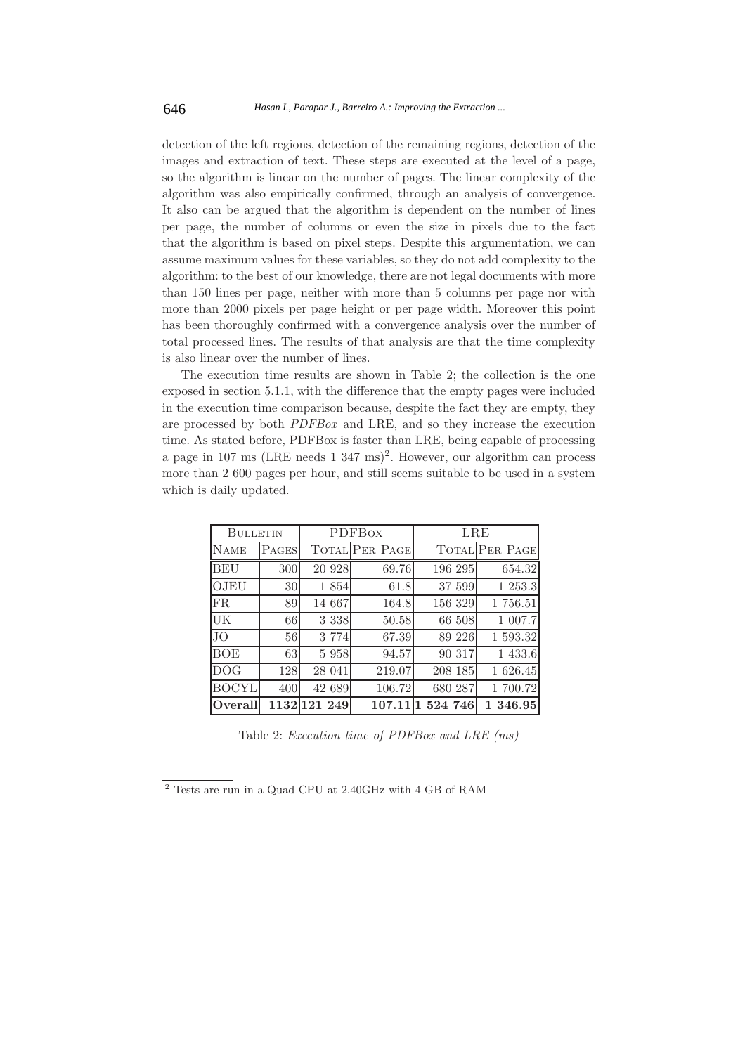detection of the left regions, detection of the remaining regions, detection of the images and extraction of text. These steps are executed at the level of a page, so the algorithm is linear on the number of pages. The linear complexity of the algorithm was also empirically confirmed, through an analysis of convergence. It also can be argued that the algorithm is dependent on the number of lines per page, the number of columns or even the size in pixels due to the fact that the algorithm is based on pixel steps. Despite this argumentation, we can assume maximum values for these variables, so they do not add complexity to the algorithm: to the best of our knowledge, there are not legal documents with more than 150 lines per page, neither with more than 5 columns per page nor with more than 2000 pixels per page height or per page width. Moreover this point has been thoroughly confirmed with a convergence analysis over the number of total processed lines. The results of that analysis are that the time complexity is also linear over the number of lines.

The execution time results are shown in Table 2; the collection is the one exposed in section 5.1.1, with the difference that the empty pages were included in the execution time comparison because, despite the fact they are empty, they are processed by both *PDFBox* and LRE, and so they increase the execution time. As stated before, PDFBox is faster than LRE, being capable of processing a page in 107 ms (LRE needs  $1\,347\,\mathrm{ms}$ )<sup>2</sup>. However, our algorithm can process more than 2 600 pages per hour, and still seems suitable to be used in a system which is daily updated.

|              | <b>BULLETIN</b> |              | <b>PDFBox</b>  |           | LRE                   |  |
|--------------|-----------------|--------------|----------------|-----------|-----------------------|--|
| <b>NAME</b>  | PAGES           |              | TOTAL PER PAGE |           | <b>TOTAL PER PAGE</b> |  |
| <b>BEU</b>   | 300             | 20 928       | 69.76          | 196 295   | 654.32                |  |
| OJEU         | 30              | 1 854        | 61.8           | 37 599    | 1 253.3               |  |
| FR.          | 89              | 14 667       | 164.8          | 156 329   | 1 756.51              |  |
| UK           | 66              | 3 3 3 8      | 50.58          | 66 508    | 1 007.7               |  |
| <b>JO</b>    | 56              | 3 7 7 4      | 67.39          | 89 226    | 1 593.32              |  |
| <b>BOE</b>   | 63              | 5 9 5 8      | 94.57          | 90 317    | 1 433.6               |  |
| <b>DOG</b>   | 128             | 28 041       | 219.07         | 208 185   | 1 626.45              |  |
| <b>BOCYL</b> | 400             | 42 689       | 106.72         | 680 287   | 1 700.72              |  |
| Overall      |                 | 1132 121 249 | 107.11         | 1 524 746 | 1 346.95              |  |

Table 2: *Execution time of PDFBox and LRE (ms)*

<sup>2</sup> Tests are run in a Quad CPU at 2.40GHz with 4 GB of RAM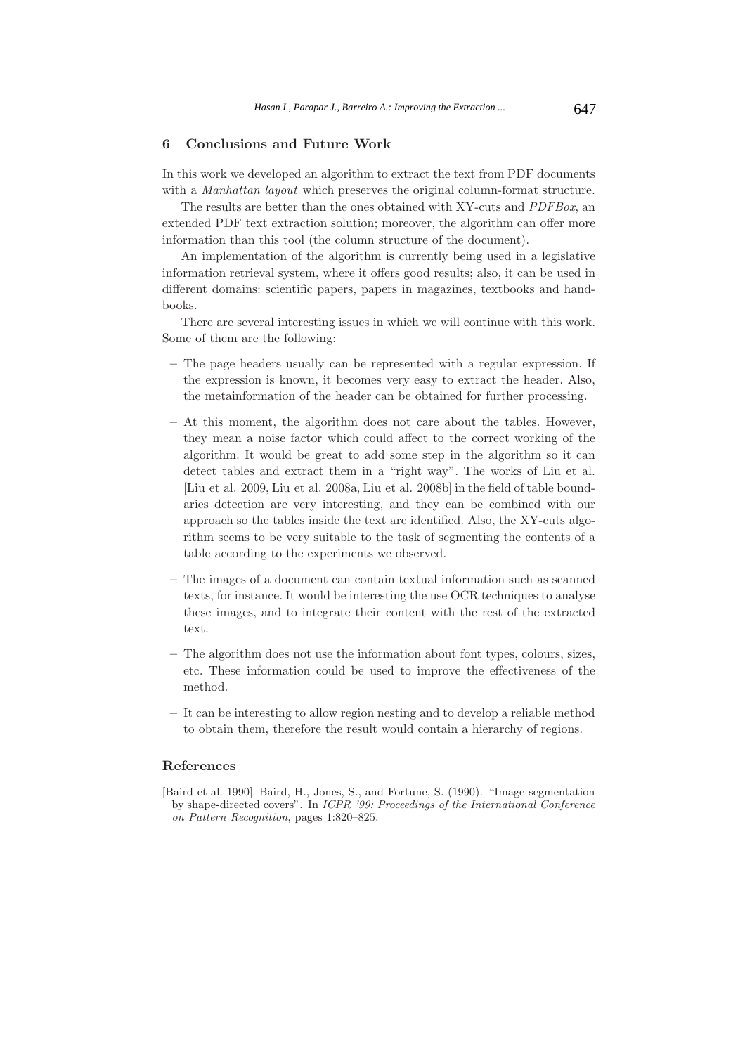# **6 Conclusions and Future Work**

In this work we developed an algorithm to extract the text from PDF documents with a *Manhattan layout* which preserves the original column-format structure.

The results are better than the ones obtained with XY-cuts and *PDFBox*, an extended PDF text extraction solution; moreover, the algorithm can offer more information than this tool (the column structure of the document).

An implementation of the algorithm is currently being used in a legislative information retrieval system, where it offers good results; also, it can be used in different domains: scientific papers, papers in magazines, textbooks and handbooks.

There are several interesting issues in which we will continue with this work. Some of them are the following:

- **–** The page headers usually can be represented with a regular expression. If the expression is known, it becomes very easy to extract the header. Also, the metainformation of the header can be obtained for further processing.
- **–** At this moment, the algorithm does not care about the tables. However, they mean a noise factor which could affect to the correct working of the algorithm. It would be great to add some step in the algorithm so it can detect tables and extract them in a "right way". The works of Liu et al. [Liu et al. 2009, Liu et al. 2008a, Liu et al. 2008b] in the field of table boundaries detection are very interesting, and they can be combined with our approach so the tables inside the text are identified. Also, the XY-cuts algorithm seems to be very suitable to the task of segmenting the contents of a table according to the experiments we observed.
- **–** The images of a document can contain textual information such as scanned texts, for instance. It would be interesting the use OCR techniques to analyse these images, and to integrate their content with the rest of the extracted text.
- **–** The algorithm does not use the information about font types, colours, sizes, etc. These information could be used to improve the effectiveness of the method.
- **–** It can be interesting to allow region nesting and to develop a reliable method to obtain them, therefore the result would contain a hierarchy of regions.

## **References**

[Baird et al. 1990] Baird, H., Jones, S., and Fortune, S. (1990). "Image segmentation by shape-directed covers". In ICPR '99: Proceedings of the International Conference on Pattern Recognition, pages 1:820–825.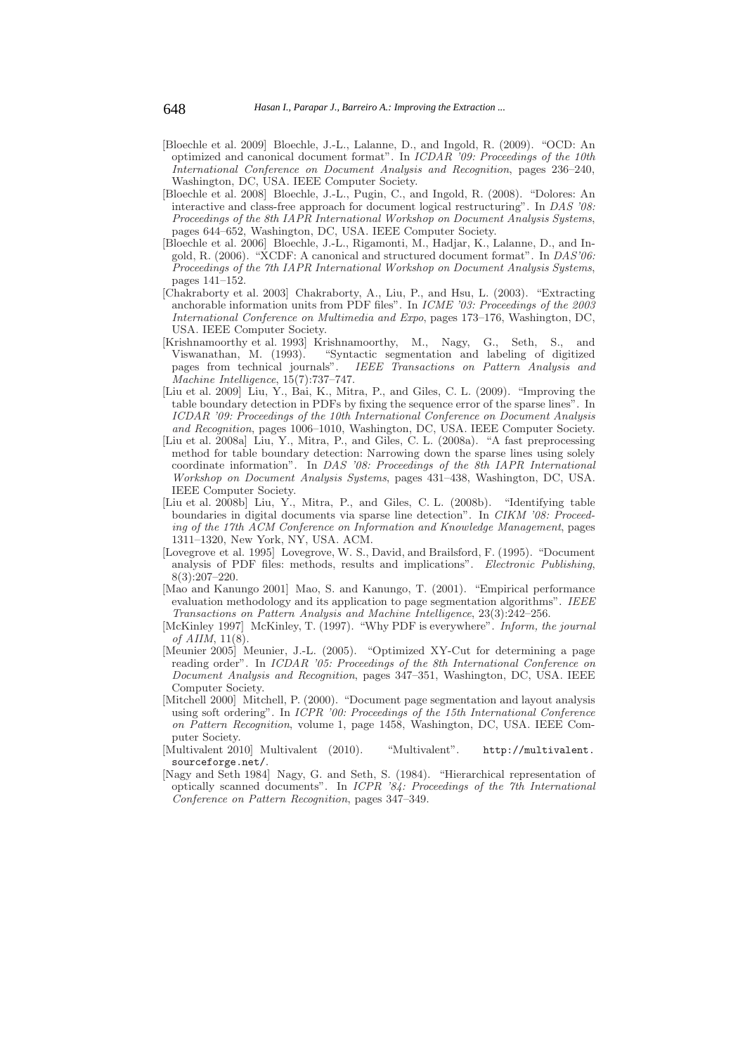- [Bloechle et al. 2009] Bloechle, J.-L., Lalanne, D., and Ingold, R. (2009). "OCD: An optimized and canonical document format". In ICDAR '09: Proceedings of the 10th International Conference on Document Analysis and Recognition, pages 236–240, Washington, DC, USA. IEEE Computer Society.
- [Bloechle et al. 2008] Bloechle, J.-L., Pugin, C., and Ingold, R. (2008). "Dolores: An interactive and class-free approach for document logical restructuring". In DAS '08: Proceedings of the 8th IAPR International Workshop on Document Analysis Systems, pages 644–652, Washington, DC, USA. IEEE Computer Society.
- [Bloechle et al. 2006] Bloechle, J.-L., Rigamonti, M., Hadjar, K., Lalanne, D., and Ingold, R. (2006). "XCDF: A canonical and structured document format". In DAS'06: Proceedings of the 7th IAPR International Workshop on Document Analysis Systems, pages 141–152.
- [Chakraborty et al. 2003] Chakraborty, A., Liu, P., and Hsu, L. (2003). "Extracting anchorable information units from PDF files". In ICME '03: Proceedings of the 2003 International Conference on Multimedia and Expo, pages 173–176, Washington, DC, USA. IEEE Computer Society.
- [Krishnamoorthy et al. 1993] Krishnamoorthy, M., Nagy, G., Seth, S., and Viswanathan, M. (1993). "Syntactic segmentation and labeling of digitized pages from technical journals". IEEE Transactions on Pattern Analysis and Machine Intelligence, 15(7):737–747.
- [Liu et al. 2009] Liu, Y., Bai, K., Mitra, P., and Giles, C. L. (2009). "Improving the table boundary detection in PDFs by fixing the sequence error of the sparse lines". In ICDAR '09: Proceedings of the 10th International Conference on Document Analysis and Recognition, pages 1006–1010, Washington, DC, USA. IEEE Computer Society.
- [Liu et al. 2008a] Liu, Y., Mitra, P., and Giles, C. L. (2008a). "A fast preprocessing method for table boundary detection: Narrowing down the sparse lines using solely coordinate information". In DAS '08: Proceedings of the 8th IAPR International Workshop on Document Analysis Systems, pages 431–438, Washington, DC, USA. IEEE Computer Society.
- [Liu et al. 2008b] Liu, Y., Mitra, P., and Giles, C. L. (2008b). "Identifying table boundaries in digital documents via sparse line detection". In CIKM '08: Proceeding of the 17th ACM Conference on Information and Knowledge Management, pages 1311–1320, New York, NY, USA. ACM.
- [Lovegrove et al. 1995] Lovegrove, W. S., David, and Brailsford, F. (1995). "Document analysis of PDF files: methods, results and implications". Electronic Publishing, 8(3):207–220.
- [Mao and Kanungo 2001] Mao, S. and Kanungo, T. (2001). "Empirical performance evaluation methodology and its application to page segmentation algorithms". IEEE Transactions on Pattern Analysis and Machine Intelligence, 23(3):242–256.
- [McKinley 1997] McKinley, T. (1997). "Why PDF is everywhere". *Inform, the journal* of AIIM, 11(8).
- [Meunier 2005] Meunier, J.-L. (2005). "Optimized XY-Cut for determining a page reading order". In ICDAR '05: Proceedings of the 8th International Conference on Document Analysis and Recognition, pages 347–351, Washington, DC, USA. IEEE Computer Society.
- [Mitchell 2000] Mitchell, P. (2000). "Document page segmentation and layout analysis using soft ordering". In ICPR '00: Proceedings of the 15th International Conference on Pattern Recognition, volume 1, page 1458, Washington, DC, USA. IEEE Computer Society.
- [Multivalent 2010] Multivalent (2010). "Multivalent". http://multivalent. sourceforge.net/.
- [Nagy and Seth 1984] Nagy, G. and Seth, S. (1984). "Hierarchical representation of optically scanned documents". In ICPR '84: Proceedings of the 7th International Conference on Pattern Recognition, pages 347–349.